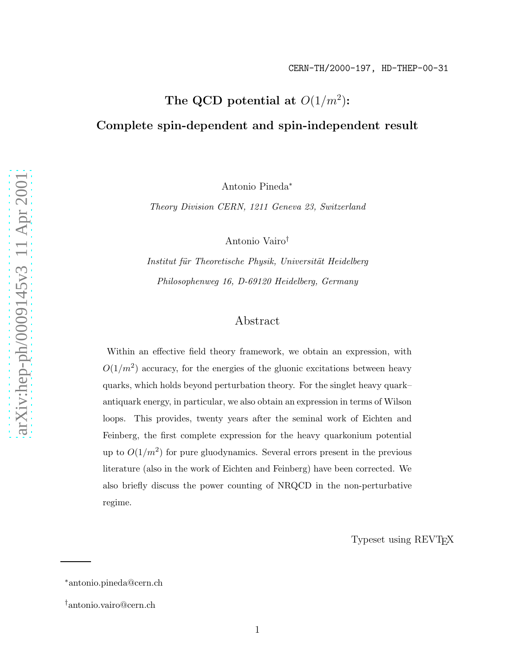# The QCD potential at  $O(1/m^2)$ : Complete spin-dependent and spin-independent result

Antonio Pineda ∗

Theory Division CERN, 1211 Geneva 23, Switzerland

Antonio Vairo †

Institut für Theoretische Physik, Universität Heidelberg Philosophenweg 16, D-69120 Heidelberg, Germany

# Abstract

Within an effective field theory framework, we obtain an expression, with  $O(1/m^2)$  accuracy, for the energies of the gluonic excitations between heavy quarks, which holds beyond perturbation theory. For the singlet heavy quark– antiquark energy, in particular, we also obtain an expression in terms of Wilson loops. This provides, twenty years after the seminal work of Eichten and Feinberg, the first complete expression for the heavy quarkonium potential up to  $O(1/m^2)$  for pure gluodynamics. Several errors present in the previous literature (also in the work of Eichten and Feinberg) have been corrected. We also briefly discuss the power counting of NRQCD in the non-perturbative regime.

Typeset using REVTEX

<sup>∗</sup>antonio.pineda@cern.ch

<sup>†</sup>antonio.vairo@cern.ch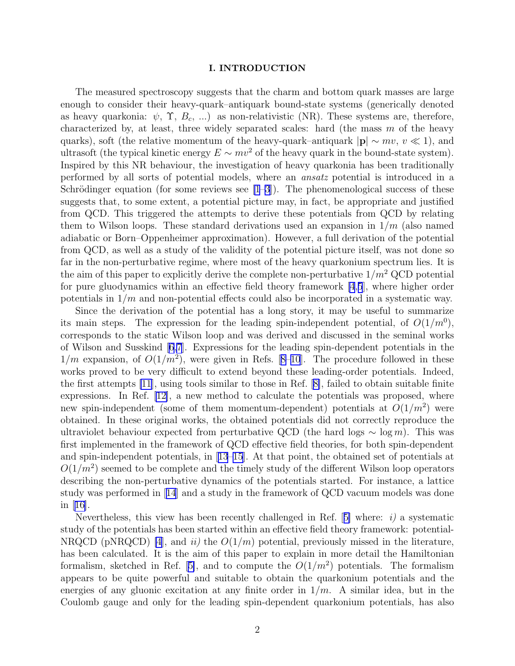### I. INTRODUCTION

The measured spectroscopy suggests that the charm and bottom quark masses are large enough to consider their heavy-quark–antiquark bound-state systems (generically denoted as heavy quarkonia:  $\psi$ ,  $\Upsilon$ ,  $B_c$ , ...) as non-relativistic (NR). These systems are, therefore, characterized by, at least, three widely separated scales: hard (the mass  $m$  of the heavy quarks), soft (the relative momentum of the heavy-quark–antiquark  $|\mathbf{p}| \sim mv$ ,  $v \ll 1$ ), and ultrasoft (the typical kinetic energy  $E \sim mv^2$  of the heavy quark in the bound-state system). Inspired by this NR behaviour, the investigation of heavy quarkonia has been traditionally performed by all sorts of potential models, where an ansatz potential is introduced in a Schrödinger equation (for some reviews see  $[1-3]$ ). The phenomenological success of these suggests that, to some extent, a potential picture may, in fact, be appropriate and justified from QCD. This triggered the attempts to derive these potentials from QCD by relating them to Wilson loops. These standard derivations used an expansion in  $1/m$  (also named adiabatic or Born–Oppenheimer approximation). However, a full derivation of the potential from QCD, as well as a study of the validity of the potential picture itself, was not done so far in the non-perturbative regime, where most of the heavy quarkonium spectrum lies. It is the aim of this paper to explicitly derive the complete non-perturbative  $1/m^2$  QCD potential for pure gluodynamics within an effective field theory framework [\[4](#page-23-0),[5](#page-23-0)], where higher order potentials in  $1/m$  and non-potential effects could also be incorporated in a systematic way.

Since the derivation of the potential has a long story, it may be useful to summarize its main steps. The expression for the leading spin-independent potential, of  $O(1/m^0)$ , corresponds to the static Wilson loop and was derived and discussed in the seminal works of Wilson and Susskind [\[6,7](#page-23-0)]. Expressions for the leading spin-dependent potentials in the  $1/m$ expansion, of  $O(1/m^2)$ , were given in Refs. [8-10]. The procedure followed in these works proved to be very difficult to extend beyond these leading-order potentials. Indeed, the first attempts [\[11](#page-23-0)], using tools similar to those in Ref.[[8\]](#page-23-0), failed to obtain suitable finite expressions. In Ref.[[12\]](#page-23-0), a new method to calculate the potentials was proposed, where new spin-independent (some of them momentum-dependent) potentials at  $O(1/m^2)$  were obtained. In these original works, the obtained potentials did not correctly reproduce the ultraviolet behaviour expected from perturbative QCD (the hard logs  $\sim \log m$ ). This was first implemented in the framework of QCD effective field theories, for both spin-dependent and spin-independent potentials, in[[13–15\]](#page-23-0). At that point, the obtained set of potentials at  $O(1/m^2)$  seemed to be complete and the timely study of the different Wilson loop operators describing the non-perturbative dynamics of the potentials started. For instance, a lattice study was performed in[[14](#page-23-0)] and a study in the framework of QCD vacuum models was done in $|16|$ .

Nevertheless,this view has been recently challenged in Ref.  $[5]$  $[5]$  where: *i*) a systematic study of the potentials has been started within an effective field theory framework: potential-NRQCD (pNRQCD) [\[4](#page-23-0)], and ii) the  $O(1/m)$  potential, previously missed in the literature, has been calculated. It is the aim of this paper to explain in more detail the Hamiltonian formalism,sketched in Ref. [[5\]](#page-23-0), and to compute the  $O(1/m^2)$  potentials. The formalism appears to be quite powerful and suitable to obtain the quarkonium potentials and the energies of any gluonic excitation at any finite order in  $1/m$ . A similar idea, but in the Coulomb gauge and only for the leading spin-dependent quarkonium potentials, has also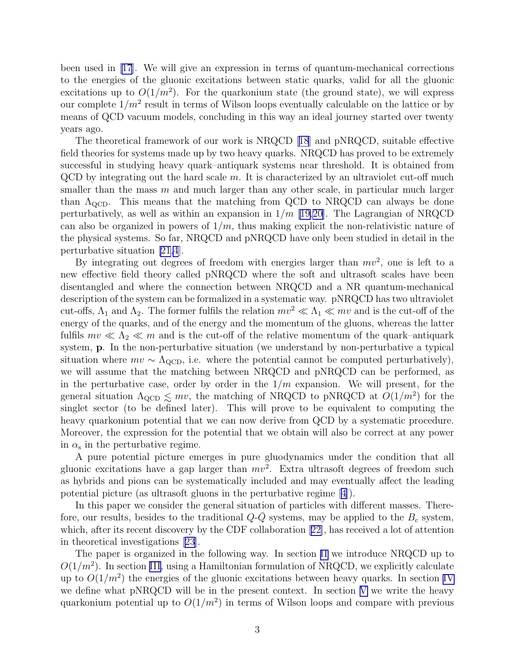been used in [\[17\]](#page-23-0). We will give an expression in terms of quantum-mechanical corrections to the energies of the gluonic excitations between static quarks, valid for all the gluonic excitations up to  $O(1/m^2)$ . For the quarkonium state (the ground state), we will express our complete  $1/m^2$  result in terms of Wilson loops eventually calculable on the lattice or by means of QCD vacuum models, concluding in this way an ideal journey started over twenty years ago.

The theoretical framework of our work is NRQCD[[18](#page-23-0)] and pNRQCD, suitable effective field theories for systems made up by two heavy quarks. NRQCD has proved to be extremely successful in studying heavy quark–antiquark systems near threshold. It is obtained from  $QCD$  by integrating out the hard scale  $m$ . It is characterized by an ultraviolet cut-off much smaller than the mass  $m$  and much larger than any other scale, in particular much larger than  $\Lambda_{\text{QCD}}$ . This means that the matching from QCD to NRQCD can always be done perturbatively, as well as within an expansion in  $1/m$  [[19,20\]](#page-23-0). The Lagrangian of NRQCD can also be organized in powers of  $1/m$ , thus making explicit the non-relativistic nature of the physical systems. So far, NRQCD and pNRQCD have only been studied in detail in the perturbative situation [\[21,4](#page-23-0)].

By integrating out degrees of freedom with energies larger than  $mv^2$ , one is left to a new effective field theory called pNRQCD where the soft and ultrasoft scales have been disentangled and where the connection between NRQCD and a NR quantum-mechanical description of the system can be formalized in a systematic way. pNRQCD has two ultraviolet cut-offs,  $\Lambda_1$  and  $\Lambda_2$ . The former fulfils the relation  $mv^2 \ll \Lambda_1 \ll mv$  and is the cut-off of the energy of the quarks, and of the energy and the momentum of the gluons, whereas the latter fulfils  $mv \ll \Lambda_2 \ll m$  and is the cut-off of the relative momentum of the quark–antiquark system, p. In the non-perturbative situation (we understand by non-perturbative a typical situation where  $mv \sim \Lambda_{\text{QCD}}$ , i.e. where the potential cannot be computed perturbatively), we will assume that the matching between NRQCD and pNRQCD can be performed, as in the perturbative case, order by order in the  $1/m$  expansion. We will present, for the general situation  $\Lambda_{\text{QCD}} \leq m v$ , the matching of NRQCD to pNRQCD at  $O(1/m^2)$  for the singlet sector (to be defined later). This will prove to be equivalent to computing the heavy quarkonium potential that we can now derive from QCD by a systematic procedure. Moreover, the expression for the potential that we obtain will also be correct at any power in  $\alpha_s$  in the perturbative regime.

A pure potential picture emerges in pure gluodynamics under the condition that all gluonic excitations have a gap larger than  $mv^2$ . Extra ultrasoft degrees of freedom such as hybrids and pions can be systematically included and may eventually affect the leading potential picture (as ultrasoft gluons in the perturbative regime[[4\]](#page-23-0)).

In this paper we consider the general situation of particles with different masses. Therefore, our results, besides to the traditional  $Q\text{-}\bar{Q}$  systems, may be applied to the  $B_c$  system, which, after its recent discovery by the CDF collaboration[[22\]](#page-23-0), has received a lot of attention in theoretical investigations [\[23\]](#page-23-0).

The paper is organized in the following way. In section [II](#page-3-0) we introduce NRQCD up to  $O(1/m^2)$ . In section [III](#page-4-0), using a Hamiltonian formulation of NRQCD, we explicitly calculate up to  $O(1/m^2)$  the energies of the gluonic excitations between heavy quarks. In section [IV](#page-9-0) we define what pNRQCD will be in the present context. In section [V](#page-12-0) we write the heavy quarkonium potential up to  $O(1/m^2)$  in terms of Wilson loops and compare with previous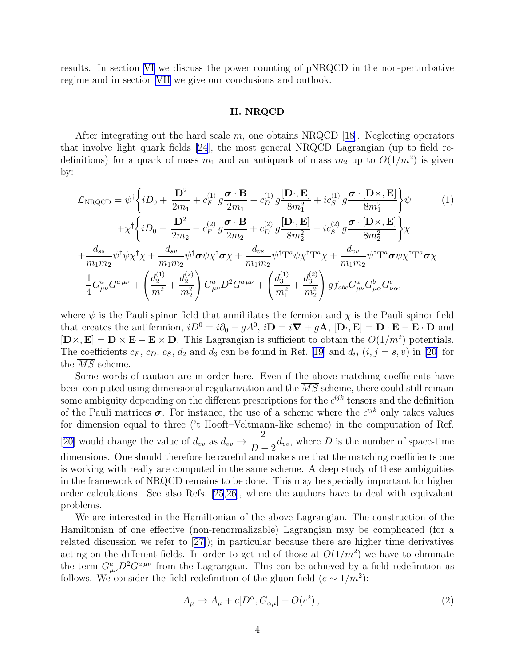<span id="page-3-0"></span>results. In section [VI](#page-18-0) we discuss the power counting of pNRQCD in the non-perturbative regime and in section [VII](#page-19-0) we give our conclusions and outlook.

## II. NRQCD

Afterintegrating out the hard scale  $m$ , one obtains NRQCD [[18\]](#page-23-0). Neglecting operators that involve light quark fields [\[24](#page-23-0)], the most general NRQCD Lagrangian (up to field redefinitions) for a quark of mass  $m_1$  and an antiquark of mass  $m_2$  up to  $O(1/m^2)$  is given by:

$$
\mathcal{L}_{\text{NRQCD}} = \psi^{\dagger} \left\{ iD_0 + \frac{\mathbf{D}^2}{2m_1} + c_F^{(1)} g \frac{\boldsymbol{\sigma} \cdot \mathbf{B}}{2m_1} + c_D^{(1)} g \frac{[\mathbf{D} \cdot, \mathbf{E}]}{8m_1^2} + i c_S^{(1)} g \frac{\boldsymbol{\sigma} \cdot [\mathbf{D} \times, \mathbf{E}]}{8m_1^2} \right\} \psi \qquad (1)
$$
\n
$$
+ \chi^{\dagger} \left\{ iD_0 - \frac{\mathbf{D}^2}{2m_2} - c_F^{(2)} g \frac{\boldsymbol{\sigma} \cdot \mathbf{B}}{2m_2} + c_D^{(2)} g \frac{[\mathbf{D} \cdot, \mathbf{E}]}{8m_2^2} + i c_S^{(2)} g \frac{\boldsymbol{\sigma} \cdot [\mathbf{D} \times, \mathbf{E}]}{8m_2^2} \right\} \chi
$$
\n
$$
+ \frac{d_{ss}}{m_1 m_2} \psi^{\dagger} \psi \chi^{\dagger} \chi + \frac{d_{sv}}{m_1 m_2} \psi^{\dagger} \boldsymbol{\sigma} \psi \chi^{\dagger} \boldsymbol{\sigma} \chi + \frac{d_{vs}}{m_1 m_2} \psi^{\dagger} \mathbf{T}^a \psi \chi^{\dagger} \mathbf{T}^a \chi + \frac{d_{vv}}{m_1 m_2} \psi^{\dagger} \mathbf{T}^a \boldsymbol{\sigma} \psi \chi^{\dagger} \mathbf{T}^a \boldsymbol{\sigma} \chi
$$
\n
$$
- \frac{1}{4} G_{\mu\nu}^a G^{a\mu\nu} + \left( \frac{d_2^{(1)}}{m_1^2} + \frac{d_2^{(2)}}{m_2^2} \right) G_{\mu\nu}^a D^2 G^{a\mu\nu} + \left( \frac{d_3^{(1)}}{m_1^2} + \frac{d_3^{(2)}}{m_2^2} \right) g f_{abc} G_{\mu\nu}^a G_{\mu\alpha}^b G_{\nu\alpha}^c,
$$
\n(1)

where  $\psi$  is the Pauli spinor field that annihilates the fermion and  $\chi$  is the Pauli spinor field that creates the antifermion,  $iD^0 = i\partial_0 - gA^0$ ,  $i\mathbf{D} = i\mathbf{\nabla} + g\mathbf{A}$ ,  $[\mathbf{D}\cdot,\mathbf{E}] = \mathbf{D}\cdot\mathbf{E} - \mathbf{E}\cdot\mathbf{D}$  and  $[\mathbf{D}\times,\mathbf{E}] = \mathbf{D}\times\mathbf{E} - \mathbf{E}\times\mathbf{D}$ . This Lagrangian is sufficient to obtain the  $O(1/m^2)$  potentials. Thecoefficients  $c_F$ ,  $c_D$ ,  $c_S$ ,  $d_2$  and  $d_3$  can be found in Ref. [[19\]](#page-23-0) and  $d_{ij}$   $(i, j = s, v)$  in [\[20](#page-23-0)] for the MS scheme.

Some words of caution are in order here. Even if the above matching coefficients have been computed using dimensional regularization and the  $\overline{MS}$  scheme, there could still remain some ambiguity depending on the different prescriptions for the  $\epsilon^{ijk}$  tensors and the definition of the Pauli matrices  $\sigma$ . For instance, the use of a scheme where the  $\epsilon^{ijk}$  only takes values for dimension equal to three ('t Hooft–Veltmann-like scheme) in the computation of Ref. [\[20](#page-23-0)] would change the value of  $d_{vv}$  as  $d_{vv} \rightarrow$ 2  $\frac{1}{D-2}d_{vv}$ , where D is the number of space-time dimensions. One should therefore be careful and make sure that the matching coefficients one is working with really are computed in the same scheme. A deep study of these ambiguities in the framework of NRQCD remains to be done. This may be specially important for higher order calculations. See also Refs. [\[25,26](#page-23-0)], where the authors have to deal with equivalent problems.

We are interested in the Hamiltonian of the above Lagrangian. The construction of the Hamiltonian of one effective (non-renormalizable) Lagrangian may be complicated (for a related discussion we refer to[[27\]](#page-23-0)); in particular because there are higher time derivatives acting on the different fields. In order to get rid of those at  $O(1/m^2)$  we have to eliminate the term  $G^a_{\mu\nu}D^2G^{a\,\mu\nu}$  from the Lagrangian. This can be achieved by a field redefinition as follows. We consider the field redefinition of the gluon field  $(c \sim 1/m^2)$ :

$$
A_{\mu} \to A_{\mu} + c[D^{\alpha}, G_{\alpha\mu}] + O(c^2) , \qquad (2)
$$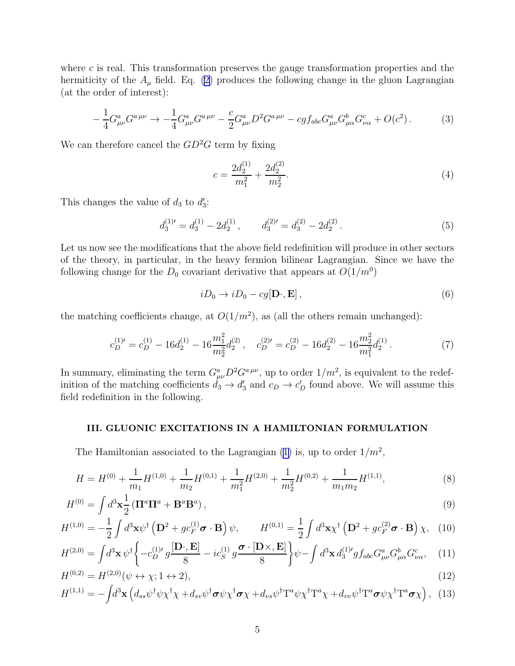<span id="page-4-0"></span>where  $c$  is real. This transformation preserves the gauge transformation properties and the hermiticity of the  $A_\mu$  field. Eq. [\(2\)](#page-3-0) produces the following change in the gluon Lagrangian (at the order of interest):

$$
-\frac{1}{4}G^{a}_{\mu\nu}G^{a\,\mu\nu} \to -\frac{1}{4}G^{a}_{\mu\nu}G^{a\,\mu\nu} - \frac{c}{2}G^{a}_{\mu\nu}D^{2}G^{a\,\mu\nu} - cgf_{abc}G^{a}_{\mu\nu}G^{b}_{\mu\alpha}G^{c}_{\nu\alpha} + O(c^{2}).
$$
 (3)

We can therefore cancel the  $GD^2G$  term by fixing

$$
c = \frac{2d_2^{(1)}}{m_1^2} + \frac{2d_2^{(2)}}{m_2^2}.\tag{4}
$$

This changes the value of  $d_3$  to  $d'_3$ :

$$
d_3^{(1)'} = d_3^{(1)} - 2d_2^{(1)}, \qquad d_3^{(2)'} = d_3^{(2)} - 2d_2^{(2)}.
$$
 (5)

Let us now see the modifications that the above field redefinition will produce in other sectors of the theory, in particular, in the heavy fermion bilinear Lagrangian. Since we have the following change for the  $D_0$  covariant derivative that appears at  $O(1/m^0)$ 

$$
iD_0 \to iD_0 - cg[\mathbf{D} \cdot, \mathbf{E}], \qquad (6)
$$

the matching coefficients change, at  $O(1/m^2)$ , as (all the others remain unchanged):

$$
c_D^{(1)'} = c_D^{(1)} - 16d_2^{(1)} - 16\frac{m_1^2}{m_2^2}d_2^{(2)}\,, \quad c_D^{(2)'} = c_D^{(2)} - 16d_2^{(2)} - 16\frac{m_2^2}{m_1^2}d_2^{(1)}\,. \tag{7}
$$

In summary, eliminating the term  $G^a_{\mu\nu}D^2G^{a\,\mu\nu}$ , up to order  $1/m^2$ , is equivalent to the redefinition of the matching coefficients  $d_3 \to d'_3$  and  $c_D \to c'_D$  found above. We will assume this field redefinition in the following.

## III. GLUONIC EXCITATIONS IN A HAMILTONIAN FORMULATION

TheHamiltonian associated to the Lagrangian ([1\)](#page-3-0) is, up to order  $1/m^2$ ,

$$
H = H^{(0)} + \frac{1}{m_1}H^{(1,0)} + \frac{1}{m_2}H^{(0,1)} + \frac{1}{m_1^2}H^{(2,0)} + \frac{1}{m_2^2}H^{(0,2)} + \frac{1}{m_1m_2}H^{(1,1)},
$$
\n(8)

$$
H^{(0)} = \int d^3 \mathbf{x} \frac{1}{2} \left( \mathbf{\Pi}^a \mathbf{\Pi}^a + \mathbf{B}^a \mathbf{B}^a \right),\tag{9}
$$

$$
H^{(1,0)} = -\frac{1}{2} \int d^3 \mathbf{x} \psi^\dagger \left( \mathbf{D}^2 + g c_F^{(1)} \boldsymbol{\sigma} \cdot \mathbf{B} \right) \psi, \qquad H^{(0,1)} = \frac{1}{2} \int d^3 \mathbf{x} \chi^\dagger \left( \mathbf{D}^2 + g c_F^{(2)} \boldsymbol{\sigma} \cdot \mathbf{B} \right) \chi, \tag{10}
$$

$$
H^{(2,0)} = \int d^3 \mathbf{x} \, \psi^\dagger \left\{ -c_D^{(1)\prime} g \frac{[\mathbf{D} \cdot, \mathbf{E}]}{8} - i c_S^{(1)} g \frac{\boldsymbol{\sigma} \cdot [\mathbf{D} \times, \mathbf{E}]}{8} \right\} \psi - \int d^3 \mathbf{x} \, d_3^{(1)\prime} g f_{abc} G^a_{\mu\nu} G^b_{\mu\alpha} G^c_{\nu\alpha}, \tag{11}
$$

$$
H^{(0,2)} = H^{(2,0)}(\psi \leftrightarrow \chi; 1 \leftrightarrow 2),
$$
\n
$$
H^{(1,1)} = -\int d^3 \mathbf{x} \left( d_{ss} \psi^\dagger \psi \chi^\dagger \chi + d_{sv} \psi^\dagger \boldsymbol{\sigma} \psi \chi^\dagger \boldsymbol{\sigma} \chi + d_{vs} \psi^\dagger \mathbf{T}^a \psi \chi^\dagger \mathbf{T}^a \chi + d_{vv} \psi^\dagger \mathbf{T}^a \boldsymbol{\sigma} \psi \chi^\dagger \mathbf{T}^a \boldsymbol{\sigma} \chi \right), \quad (13)
$$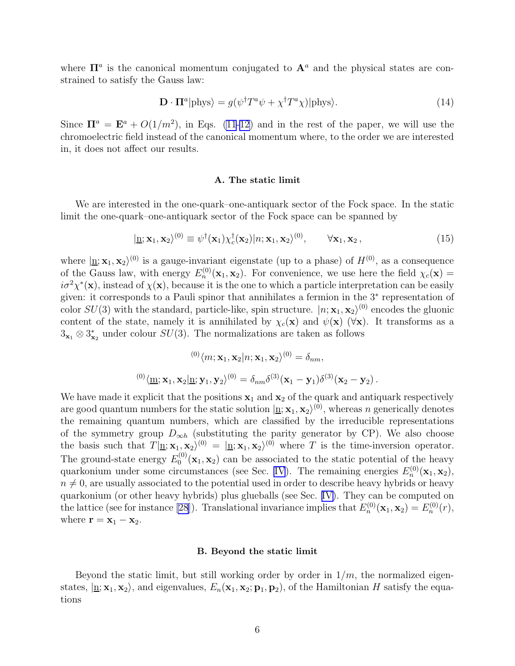<span id="page-5-0"></span>where  $\Pi^a$  is the canonical momentum conjugated to  $\mathbf{A}^a$  and the physical states are constrained to satisfy the Gauss law:

$$
\mathbf{D} \cdot \mathbf{\Pi}^a |\text{phys}\rangle = g(\psi^\dagger T^a \psi + \chi^\dagger T^a \chi)| \text{phys}\rangle. \tag{14}
$$

Since  $\mathbf{\Pi}^a = \mathbf{E}^a + O(1/m^2)$ , in Eqs. [\(11-12\)](#page-4-0) and in the rest of the paper, we will use the chromoelectric field instead of the canonical momentum where, to the order we are interested in, it does not affect our results.

## A. The static limit

We are interested in the one-quark–one-antiquark sector of the Fock space. In the static limit the one-quark–one-antiquark sector of the Fock space can be spanned by

$$
|\mathbf{\underline{n}};\mathbf{x}_1,\mathbf{x}_2\rangle^{(0)} \equiv \psi^{\dagger}(\mathbf{x}_1)\chi_c^{\dagger}(\mathbf{x}_2)|n;\mathbf{x}_1,\mathbf{x}_2\rangle^{(0)}, \qquad \forall \mathbf{x}_1,\mathbf{x}_2,
$$
\n(15)

where  $|\mathbf{n}; \mathbf{x}_1, \mathbf{x}_2\rangle^{(0)}$  is a gauge-invariant eigenstate (up to a phase) of  $H^{(0)}$ , as a consequence of the Gauss law, with energy  $E_n^{(0)}(\mathbf{x}_1, \mathbf{x}_2)$ . For convenience, we use here the field  $\chi_c(\mathbf{x}) =$  $i\sigma^2 \chi^*(\mathbf{x})$ , instead of  $\chi(\mathbf{x})$ , because it is the one to which a particle interpretation can be easily given: it corresponds to a Pauli spinor that annihilates a fermion in the 3<sup>∗</sup> representation of color  $SU(3)$  with the standard, particle-like, spin structure.  $|n; \mathbf{x}_1, \mathbf{x}_2\rangle^{(0)}$  encodes the gluonic content of the state, namely it is annihilated by  $\chi_c(\mathbf{x})$  and  $\psi(\mathbf{x})$  ( $\forall$ **x**). It transforms as a  $3_{x_1} \otimes 3_{x_2}^*$  under colour  $SU(3)$ . The normalizations are taken as follows

$$
{}^{(0)}\langle m; \mathbf{x}_1, \mathbf{x}_2 | n; \mathbf{x}_1, \mathbf{x}_2 \rangle^{(0)} = \delta_{nm},
$$
  

$$
{}^{(0)}\langle \underline{m}; \mathbf{x}_1, \mathbf{x}_2 | \underline{n}; \mathbf{y}_1, \mathbf{y}_2 \rangle^{(0)} = \delta_{nm} \delta^{(3)}(\mathbf{x}_1 - \mathbf{y}_1) \delta^{(3)}(\mathbf{x}_2 - \mathbf{y}_2).
$$

We have made it explicit that the positions  $x_1$  and  $x_2$  of the quark and antiquark respectively are good quantum numbers for the static solution  $|\mathbf{n}; \mathbf{x}_1, \mathbf{x}_2\rangle^{(0)}$ , whereas n generically denotes the remaining quantum numbers, which are classified by the irreducible representations of the symmetry group  $D_{\infty h}$  (substituting the parity generator by CP). We also choose the basis such that  $T|\mathbf{n}; \mathbf{x}_1, \mathbf{x}_2\rangle^{(0)} = |\mathbf{n}; \mathbf{x}_1, \mathbf{x}_2\rangle^{(0)}$  where T is the time-inversion operator. The ground-state energy  $E_0^{(0)}$  $\mathbf{X}_0^{(0)}(\mathbf{x}_1, \mathbf{x}_2)$  can be associated to the static potential of the heavy quarkonium under some circumstances (see Sec. [IV](#page-9-0)). The remaining energies  $E_n^{(0)}(\mathbf{x}_1, \mathbf{x}_2)$ ,  $n \neq 0$ , are usually associated to the potential used in order to describe heavy hybrids or heavy quarkonium (or other heavy hybrids) plus glueballs (see Sec. [IV\)](#page-9-0). They can be computed on the lattice (see for instance [\[28](#page-23-0)]). Translational invariance implies that  $E_n^{(0)}(\mathbf{x}_1, \mathbf{x}_2) = E_n^{(0)}(r)$ , where  $\mathbf{r} = \mathbf{x}_1 - \mathbf{x}_2$ .

### B. Beyond the static limit

Beyond the static limit, but still working order by order in  $1/m$ , the normalized eigenstates,  $|\mathbf{n}; \mathbf{x}_1, \mathbf{x}_2\rangle$ , and eigenvalues,  $E_n(\mathbf{x}_1, \mathbf{x}_2; \mathbf{p}_1, \mathbf{p}_2)$ , of the Hamiltonian H satisfy the equations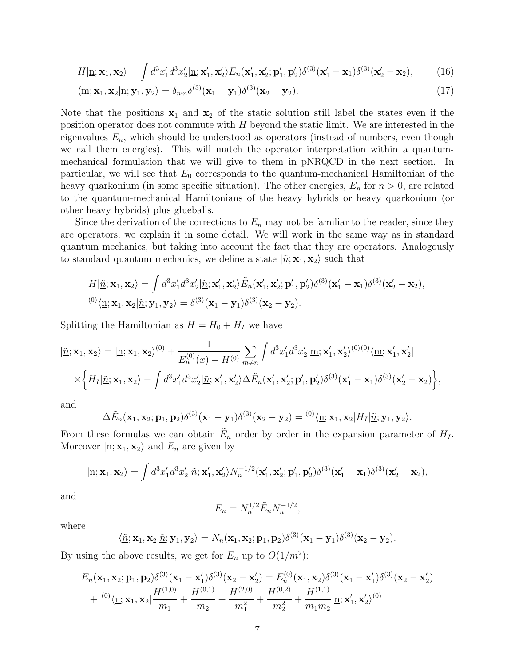<span id="page-6-0"></span>
$$
H|\underline{\mathbf{n}};\mathbf{x}_1,\mathbf{x}_2\rangle = \int d^3x'_1 d^3x'_2|\underline{\mathbf{n}};\mathbf{x}'_1,\mathbf{x}'_2\rangle E_n(\mathbf{x}'_1,\mathbf{x}'_2;\mathbf{p}'_1,\mathbf{p}'_2)\delta^{(3)}(\mathbf{x}'_1-\mathbf{x}_1)\delta^{(3)}(\mathbf{x}'_2-\mathbf{x}_2),\tag{16}
$$

$$
\langle \underline{\mathbf{m}}; \mathbf{x}_1, \mathbf{x}_2 | \underline{\mathbf{n}}; \mathbf{y}_1, \mathbf{y}_2 \rangle = \delta_{nm} \delta^{(3)}(\mathbf{x}_1 - \mathbf{y}_1) \delta^{(3)}(\mathbf{x}_2 - \mathbf{y}_2).
$$
 (17)

Note that the positions  $x_1$  and  $x_2$  of the static solution still label the states even if the position operator does not commute with H beyond the static limit. We are interested in the eigenvalues  $E_n$ , which should be understood as operators (instead of numbers, even though we call them energies). This will match the operator interpretation within a quantummechanical formulation that we will give to them in pNRQCD in the next section. In particular, we will see that  $E_0$  corresponds to the quantum-mechanical Hamiltonian of the heavy quarkonium (in some specific situation). The other energies,  $E_n$  for  $n > 0$ , are related to the quantum-mechanical Hamiltonians of the heavy hybrids or heavy quarkonium (or other heavy hybrids) plus glueballs.

Since the derivation of the corrections to  $E_n$  may not be familiar to the reader, since they are operators, we explain it in some detail. We will work in the same way as in standard quantum mechanics, but taking into account the fact that they are operators. Analogously to standard quantum mechanics, we define a state  $|\tilde{n}; \mathbf{x}_1, \mathbf{x}_2\rangle$  such that

$$
H|\tilde{\underline{n}};\mathbf{x}_1,\mathbf{x}_2\rangle = \int d^3x'_1 d^3x'_2|\tilde{\underline{n}};\mathbf{x}'_1,\mathbf{x}'_2\rangle \tilde{E}_n(\mathbf{x}'_1,\mathbf{x}'_2;\mathbf{p}'_1,\mathbf{p}'_2)\delta^{(3)}(\mathbf{x}'_1-\mathbf{x}_1)\delta^{(3)}(\mathbf{x}'_2-\mathbf{x}_2),
$$
  

$$
^{(0)}\langle \underline{\underline{n}};\mathbf{x}_1,\mathbf{x}_2|\tilde{\underline{n}};\mathbf{y}_1,\mathbf{y}_2\rangle = \delta^{(3)}(\mathbf{x}_1-\mathbf{y}_1)\delta^{(3)}(\mathbf{x}_2-\mathbf{y}_2).
$$

Splitting the Hamiltonian as  $H = H_0 + H_I$  we have

$$
|\tilde{\underline{n}};\mathbf{x}_1,\mathbf{x}_2\rangle = |\underline{\mathbf{n}};\mathbf{x}_1,\mathbf{x}_2\rangle^{(0)} + \frac{1}{E_n^{(0)}(x) - H^{(0)}} \sum_{m \neq n} \int d^3x'_1 d^3x'_2 |\underline{\mathbf{m}};\mathbf{x}'_1,\mathbf{x}'_2\rangle^{(0)(0)} \langle \underline{\mathbf{m}};\mathbf{x}'_1,\mathbf{x}'_2|
$$
  
 
$$
\times \left\{ H_I | \underline{\tilde{n}};\mathbf{x}_1,\mathbf{x}_2\rangle - \int d^3x'_1 d^3x'_2 |\underline{\tilde{n}};\mathbf{x}'_1,\mathbf{x}'_2\rangle \Delta \tilde{E}_n(\mathbf{x}'_1,\mathbf{x}'_2;\mathbf{p}'_1,\mathbf{p}'_2) \delta^{(3)}(\mathbf{x}'_1-\mathbf{x}_1) \delta^{(3)}(\mathbf{x}'_2-\mathbf{x}_2) \right\},
$$

and

$$
\Delta \tilde{E}_n(\mathbf{x}_1, \mathbf{x}_2; \mathbf{p}_1, \mathbf{p}_2) \delta^{(3)}(\mathbf{x}_1 - \mathbf{y}_1) \delta^{(3)}(\mathbf{x}_2 - \mathbf{y}_2) = {}^{(0)} \langle \underline{\mathbf{n}}; \mathbf{x}_1, \mathbf{x}_2 | H_I | \underline{\tilde{\mathbf{n}}}; \mathbf{y}_1, \mathbf{y}_2 \rangle.
$$

From these formulas we can obtain  $\tilde{E}_n$  order by order in the expansion parameter of  $H_I$ . Moreover  $|\mathbf{n}; \mathbf{x}_1, \mathbf{x}_2\rangle$  and  $E_n$  are given by

$$
|\underline{\mathbf{n}};\mathbf{x}_1,\mathbf{x}_2\rangle = \int d^3x'_1 d^3x'_2|\underline{\tilde{\mathbf{n}}};\mathbf{x}'_1,\mathbf{x}'_2\rangle N_n^{-1/2}(\mathbf{x}'_1,\mathbf{x}'_2;\mathbf{p}'_1,\mathbf{p}'_2)\delta^{(3)}(\mathbf{x}'_1-\mathbf{x}_1)\delta^{(3)}(\mathbf{x}'_2-\mathbf{x}_2),
$$

and

$$
E_n = N_n^{1/2} \tilde{E}_n N_n^{-1/2},
$$

where

$$
\langle \underline{\tilde{n}}; \mathbf{x}_1, \mathbf{x}_2 | \underline{\tilde{n}}; \mathbf{y}_1, \mathbf{y}_2 \rangle = N_n(\mathbf{x}_1, \mathbf{x}_2; \mathbf{p}_1, \mathbf{p}_2) \delta^{(3)}(\mathbf{x}_1 - \mathbf{y}_1) \delta^{(3)}(\mathbf{x}_2 - \mathbf{y}_2).
$$

By using the above results, we get for  $E_n$  up to  $O(1/m^2)$ :

$$
E_n(\mathbf{x}_1, \mathbf{x}_2; \mathbf{p}_1, \mathbf{p}_2) \delta^{(3)}(\mathbf{x}_1 - \mathbf{x}_1') \delta^{(3)}(\mathbf{x}_2 - \mathbf{x}_2') = E_n^{(0)}(\mathbf{x}_1, \mathbf{x}_2) \delta^{(3)}(\mathbf{x}_1 - \mathbf{x}_1') \delta^{(3)}(\mathbf{x}_2 - \mathbf{x}_2') + {^{(0)}\langle \underline{\mathbf{n}}; \mathbf{x}_1, \mathbf{x}_2 | \frac{H^{(1,0)}}{m_1} + \frac{H^{(0,1)}}{m_2} + \frac{H^{(2,0)}}{m_1^2} + \frac{H^{(0,2)}}{m_2^2} + \frac{H^{(1,1)}}{m_1 m_2} |\underline{\mathbf{n}}; \mathbf{x}_1', \mathbf{x}_2'\rangle^{(0)}
$$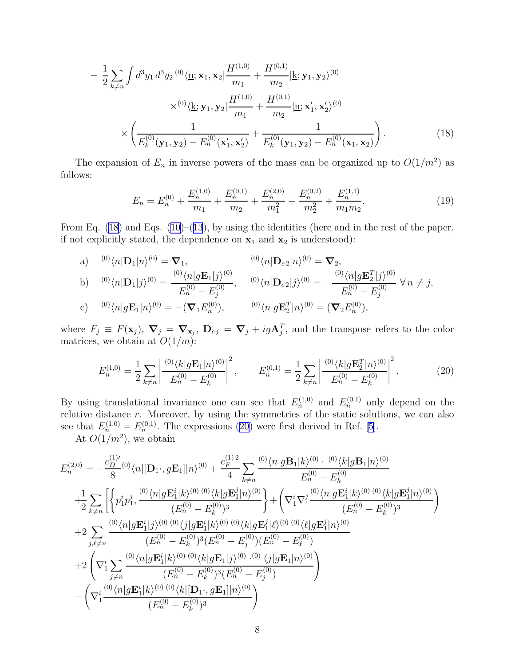<span id="page-7-0"></span>
$$
- \frac{1}{2} \sum_{k \neq n} \int d^3 y_1 d^3 y_2^{(0)} \langle \mathbf{\underline{n}}; \mathbf{x}_1, \mathbf{x}_2 | \frac{H^{(1,0)}}{m_1} + \frac{H^{(0,1)}}{m_2} | \mathbf{\underline{k}}; \mathbf{y}_1, \mathbf{y}_2 \rangle^{(0)} \times \frac{\times^{(0)} \langle \mathbf{\underline{k}}; \mathbf{y}_1, \mathbf{y}_2 | \frac{H^{(1,0)}}{m_1} + \frac{H^{(0,1)}}{m_2} | \mathbf{\underline{n}}; \mathbf{x}_1', \mathbf{x}_2' \rangle^{(0)} \times \left( \frac{1}{E_k^{(0)}(\mathbf{y}_1, \mathbf{y}_2) - E_n^{(0)}(\mathbf{x}_1', \mathbf{x}_2')} + \frac{1}{E_k^{(0)}(\mathbf{y}_1, \mathbf{y}_2) - E_n^{(0)}(\mathbf{x}_1, \mathbf{x}_2)} \right).
$$
(18)

The expansion of  $E_n$  in inverse powers of the mass can be organized up to  $O(1/m^2)$  as follows:

$$
E_n = E_n^{(0)} + \frac{E_n^{(1,0)}}{m_1} + \frac{E_n^{(0,1)}}{m_2} + \frac{E_n^{(2,0)}}{m_1^2} + \frac{E_n^{(0,2)}}{m_2^2} + \frac{E_n^{(1,1)}}{m_1 m_2}.
$$
 (19)

From Eq. [\(18\)](#page-6-0)and Eqs. ([10\)](#page-4-0)–([13](#page-4-0)), by using the identities (here and in the rest of the paper, if not explicitly stated, the dependence on  $x_1$  and  $x_2$  is understood):

a) 
$$
^{(0)}\langle n|\mathbf{D}_1|n\rangle^{(0)} = \nabla_1,
$$
  
\nb)  $^{(0)}\langle n|\mathbf{D}_1|j\rangle^{(0)} = \frac{^{(0)}\langle n|g\mathbf{E}_1|j\rangle^{(0)}}{E_n^{(0)} - E_j^{(0)}},$   
\nc)  $^{(0)}\langle n|\mathbf{D}_1|j\rangle^{(0)} = -(\nabla_1 E_n^{(0)}),$   
\nd)  $^{(0)}\langle n|\mathbf{D}_{c2}|j\rangle^{(0)} = -\frac{^{(0)}\langle n|g\mathbf{E}_2^T|j\rangle^{(0)}}{E_n^{(0)} - E_j^{(0)}} \forall n \neq j,$   
\ne)  $^{(0)}\langle n|g\mathbf{E}_1|n\rangle^{(0)} = -(\nabla_1 E_n^{(0)}),$   
\nf)  $^{(0)}\langle n|g\mathbf{E}_2^T|n\rangle^{(0)} = (\nabla_2 E_n^{(0)}),$ 

where  $F_j \equiv F(\mathbf{x}_j)$ ,  $\nabla_j = \nabla_{\mathbf{x}_j}$ ,  $D_{cj} = \nabla_j + ig \mathbf{A}_j^T$ , and the transpose refers to the color matrices, we obtain at  $O(1/m)$ :

$$
E_n^{(1,0)} = \frac{1}{2} \sum_{k \neq n} \left| \frac{\binom{0}{k} g \mathbf{E}_1 | n \rangle^{(0)}}{E_n^{(0)} - E_k^{(0)}} \right|^2, \qquad E_n^{(0,1)} = \frac{1}{2} \sum_{k \neq n} \left| \frac{\binom{0}{k} g \mathbf{E}_2^T | n \rangle^{(0)}}{E_n^{(0)} - E_k^{(0)}} \right|^2. \tag{20}
$$

By using translational invariance one can see that  $E_n^{(1,0)}$  and  $E_n^{(0,1)}$  only depend on the relative distance r. Moreover, by using the symmetries of the static solutions, we can also see that  $E_n^{(1,0)} = E_n^{(0,1)}$ . The expressions (20) were first derived in Ref. [\[5](#page-23-0)].

At  $O(1/m^2)$ , we obtain

$$
E_n^{(2,0)} = -\frac{c_D^{(1) \prime}}{8}{}^{(0)} \langle n | [\mathbf{D}_1 \cdot, g\mathbf{E}_1] | n \rangle^{(0)} + \frac{c_F^{(1)2}}{4} \sum_{k \neq n} \frac{O(\langle n | g\mathbf{B}_1 | k \rangle^{(0)} \cdot O(\langle k | g\mathbf{B}_1 | n \rangle^{(0)}}{E_n^{(0)} - E_k^{(0)}} + \frac{1}{2} \sum_{k \neq n} \left[ \left\{ p_1^i p_1^j, \frac{O(\langle n | g\mathbf{E}_1^i | k \rangle^{(0)} O(\langle k | g\mathbf{E}_1^j | n \rangle^{(0)}}{E_n^{(0)} - E_k^{(0)})^3} \right\} + \left( \nabla_1^i \nabla_1^j \frac{O(\langle n | g\mathbf{E}_1^i | k \rangle^{(0)} O(\langle k | g\mathbf{E}_1^j | n \rangle^{(0)}}{E_n^{(0)} - E_k^{(0)})^3} \right) + 2 \sum_{j,\ell \neq n} \frac{O(\langle n | g\mathbf{E}_1^i | j \rangle^{(0)} O(\langle k | g\mathbf{E}_1^i | k \rangle^{(0)} O(\langle k | g\mathbf{E}_1^j | \ell \rangle^{(0)} O(\langle k | g\mathbf{E}_1^j | n \rangle^{(0)}}{E_n^{(0)} - E_j^{(0)})^3} + 2 \left( \nabla_1^i \sum_{j \neq n} \frac{O(\langle n | g\mathbf{E}_1^i | k \rangle^{(0)} O(\langle k | g\mathbf{E}_1 | j \rangle^{(0)} \cdot O(\langle k | g\mathbf{E}_1 | n \rangle^{(0)}}{E_n^{(0)} - E_k^{(0)})^3 (E_n^{(0)} - E_j^{(0)})} \right) - \left( \nabla_1^i \frac{O(\langle n | g\mathbf{E}_1^i | k \rangle^{(0)} O(\langle k | g\mathbf{E}_1 | j \rangle^{(0)} \cdot O(\langle k | g\mathbf{E}_1 | n \rangle^{(0)}}{E_n^{(0)} - E_k^{(0)})^3} \right)
$$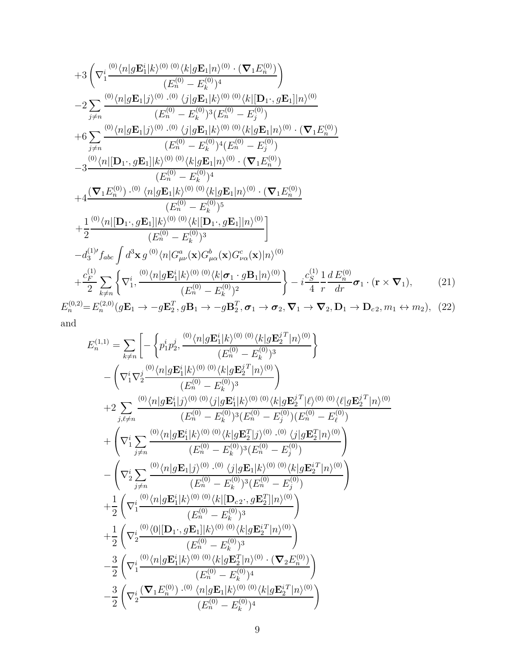<span id="page-8-0"></span>+3 
$$
\left(\nabla_{1}^{i} \frac{^{(0)}\langle n|g\mathbf{E}_{1}^{i}|k\rangle^{(0)} (0)}{(E_{n}^{(0)} - E_{k}^{(0)})^{4}}\n\right) -2 \sum_{j\neq n} \frac{^{(0)}\langle n|g\mathbf{E}_{1}|j\rangle^{(0)} (0)}{(E_{n}^{(0)} - E_{k}^{(0)})^{3}(E_{n}|k\rangle^{(0)} (0)}\n\left(\nabla_{1}^{i}\mathbf{E}_{1}^{j}|n\rangle^{(0)} - E_{j}^{(0)}\n\right) +6 \sum_{j\neq n} \frac{^{(0)}\langle n|g\mathbf{E}_{1}|j\rangle^{(0)} (0)}{(E_{n}^{(0)} - E_{n}^{(0)})^{4}(E_{n}^{(0)} - E_{j}^{(0)})}\n+6 \sum_{j\neq n} \frac{^{(0)}\langle n|g\mathbf{E}_{1}|j\rangle^{(0)} (0)}{(E_{n}^{(0)} - E_{k}^{(0)})^{4}(E_{n}^{(0)} - E_{j}^{(0)})}\n-3 \frac{^{(0)}\langle n|[{\bf D}_{1}, g{\bf E}_{1}]|k\rangle^{(0)} (0)}{(E_{n}^{(0)} - E_{k}^{(0)})^{4}}\n+4 \frac{(\nabla_{1}E_{n}^{(0)}) (0)}{(E_{n}^{(0)} - E_{k}^{(0)})^{4}}\n+4 \frac{(\nabla_{1}E_{n}^{(0)}) (0)}{(E_{n}^{(0)} - E_{k}^{(0)})^{5}}\n+ \frac{1}{2} \frac{^{(0)}\langle n|[{\bf D}_{1}, g{\bf E}_{1}]|k\rangle^{(0)} (0)}{(E_{n}^{(0)} - E_{k}^{(0)})^{5}}\n+ \frac{1}{2} \frac{^{(0)}\langle n|[{\bf D}_{1}, g{\bf E}_{1}]|k\rangle^{(0)} (0)}{(E_{n}^{(0)} - E_{k}^{(0)})^{3}}\n- d_{3}^{(1)}f_{abc} \int d^{3}x g^{(0)}\langle n|G_{\mu\nu}^{a}(x)G_{\mu\alpha}^{b}(x)G_{\nu\alpha}^{c}(x)|n\rangle^{(0)}\n+ \frac{c_{F}^{(1)}}{2} \sum_{k\neq n} \left\{\nabla_{1}^{i}, \frac{(0)}{\langle n|
$$

and

$$
E_n^{(1,1)} = \sum_{k \neq n} \left[ -\left\{ p_1^i p_2^j, \frac{(0) \langle n|g\mathbf{E}_1^i|k\rangle^{(0)} (0) \langle k|g\mathbf{E}_2^{jT}|n\rangle^{(0)}}{(E_n^{(0)} - E_k^{(0)})^3} \right\} - \left( \nabla_1^i \nabla_2^j \frac{(0) \langle n|g\mathbf{E}_1^i|k\rangle^{(0)} (0) \langle k|g\mathbf{E}_2^{jT}|n\rangle^{(0)}}{(E_n^{(0)} - E_k^{(0)})^3} \right) + 2 \sum_{j,\ell \neq n} \frac{(0) \langle n|g\mathbf{E}_1^i|j\rangle^{(0)} (0) \langle j|g\mathbf{E}_1^i|k\rangle^{(0)} (0) \langle k|g\mathbf{E}_2^{jT}|l\rangle^{(0)} (0) \langle \ell|g\mathbf{E}_2^{jT}|n\rangle^{(0)}}{(E_n^{(0)} - E_k^{(0)})^3 (E_n^{(0)} - E_j^{(0)}) (E_n^{(0)} - E_\ell^{(0)})} + \left( \nabla_1^i \sum_{j \neq n} \frac{(0) \langle n|g\mathbf{E}_1^i|k\rangle^{(0)} (0) \langle k|g\mathbf{E}_2^T|j\rangle^{(0)} (0) \langle j|g\mathbf{E}_2^T|n\rangle^{(0)}}{(E_n^{(0)} - E_k^{(0)})^3 (E_n^{(0)} - E_j^{(0)})} \right) - \left( \nabla_2^i \sum_{j \neq n} \frac{(0) \langle n|g\mathbf{E}_1|j\rangle^{(0)} (0) \langle k|g\mathbf{E}_1^i|k\rangle^{(0)} (0) \langle k|g\mathbf{E}_2^i|n\rangle^{(0)}}{(E_n^{(0)} - E_k^{(0)})^3 (E_n^{(0)} - E_j^{(0)})} \right) + \frac{1}{2} \left( \nabla_1^i \frac{(0) \langle n|g\mathbf{E}_1^i|k\rangle^{(0)} (0) \langle k|[\mathbf{D}_{c2}, g\mathbf{E}_2^T]|n\rangle^{(0)}}{(E_n^{(0)} - E_k^{(0)})^3} \right) + \frac{1}{2} \left( \nabla_2^i \frac{(0) \langle n|
$$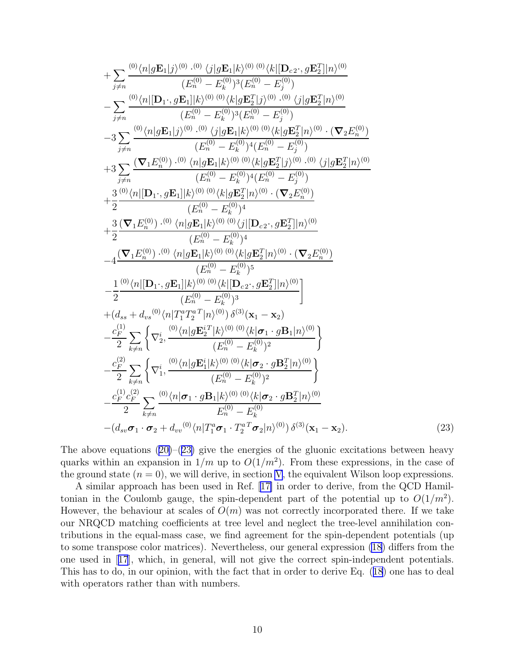<span id="page-9-0"></span>+ 
$$
\sum_{j\neq n} \frac{\frac{(0)}{\langle n|g\mathbf{E}_{1}|j\rangle^{(0)}} \cdot \frac{(0)}{\langle j|g\mathbf{E}_{1}|k\rangle^{(0)}} \cdot \frac{(0)}{\langle k|^{(0)}-E_{k}^{(0)}\rangle^{3}} \cdot E_{n}^{(0)} - E_{n}^{(0)}\rangle}{(E_{n}^{(0)}-E_{n}^{(0)})^{3}(E_{n}^{(0)}-E_{n}^{(0)})}
$$
\n- 
$$
\sum_{j\neq n} \frac{\frac{(0)}{\langle n|[\mathbf{D}_{1},g\mathbf{E}_{1}]|k\rangle^{(0)}} \cdot \frac{(0)}{\langle k|g\mathbf{E}_{2}^{T}|j\rangle^{(0)}} \cdot \frac{(0)}{\langle k|g\mathbf{E}_{2}^{T}|n\rangle^{(0)}}}{(E_{n}^{(0)}-E_{n}^{(0)})^{3}(E_{n}^{(0)}-E_{n}^{(0)})}
$$
\n+ 
$$
3\sum_{j\neq n} \frac{\frac{(0)}{\langle n|g\mathbf{E}_{1}|j\rangle^{(0)}} \cdot \frac{(0)}{\langle k|g\mathbf{E}_{1}|k\rangle^{(0)}} \cdot \frac{(0)}{\langle k|g\mathbf{E}_{2}^{T}|j\rangle^{(0)}} \cdot \frac{(0)}{\langle k|g\mathbf{E}_{2}^{T}|j\rangle^{(0)}}}{(E_{n}^{(0)}-E_{n}^{(0)})^{4}(E_{n}^{(0)}-E_{n}^{(0)})}
$$
\n+ 
$$
3\sum_{j\neq n} \frac{(\nabla_{1}E_{n}^{(0)}) \cdot \frac{(0)}{\langle k|g\mathbf{E}_{1}^{T}|k\rangle^{(0)}} \cdot \frac{(0)}{\langle k|g\mathbf{E}_{2}^{T}|j\rangle^{(0)}} \cdot \frac{(0)}{\langle k|g\mathbf{E}_{2}^{T}|n\rangle^{(0)}}}{(E_{n}^{(0)}-E_{n}^{(0)})^{4}}
$$
\n+ 
$$
\frac{3}{2} \frac{(\nabla_{1}E_{n}^{(0)}) \cdot \frac{(0)}{\langle k|g\mathbf{E}_{1}|k\rangle^{(0)}} \cdot \frac{(0)}{\langle k|g\mathbf{E}_{2}^{T}|n\rangle^{(0)}} \cdot \frac{(0)}{\langle k|g\mathbf{E}_{2}^{T}|n\rangle^{(0)}}}{(E_{n}^{
$$

Theabove equations  $(20)$  $(20)$ – $(23)$  $(23)$  give the energies of the gluonic excitations between heavy quarks within an expansion in  $1/m$  up to  $O(1/m^2)$ . From these expressions, in the case of the ground state  $(n = 0)$ , we will derive, in section [V,](#page-12-0) the equivalent Wilson loop expressions.

A similar approach has been used in Ref.[[17\]](#page-23-0) in order to derive, from the QCD Hamiltonian in the Coulomb gauge, the spin-dependent part of the potential up to  $O(1/m^2)$ . However, the behaviour at scales of  $O(m)$  was not correctly incorporated there. If we take our NRQCD matching coefficients at tree level and neglect the tree-level annihilation contributions in the equal-mass case, we find agreement for the spin-dependent potentials (up to some transpose color matrices). Nevertheless, our general expression [\(18](#page-6-0)) differs from the one used in[[17](#page-23-0)], which, in general, will not give the correct spin-independent potentials. This has to do, in our opinion, with the fact that in order to derive Eq. ([18](#page-6-0)) one has to deal with operators rather than with numbers.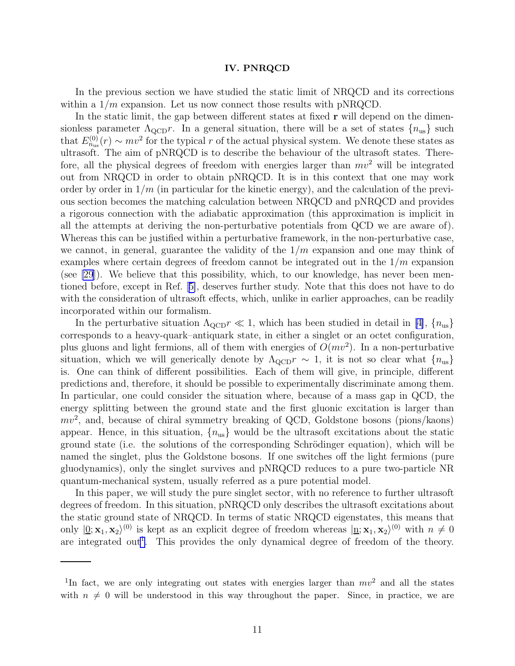#### IV. PNRQCD

In the previous section we have studied the static limit of NRQCD and its corrections within a  $1/m$  expansion. Let us now connect those results with pNRQCD.

In the static limit, the gap between different states at fixed **r** will depend on the dimensionless parameter  $\Lambda_{\rm QCD}r$ . In a general situation, there will be a set of states  $\{n_{us}\}$  such that  $E_{n_{\text{us}}}^{(0)}(r) \sim mv^2$  for the typical r of the actual physical system. We denote these states as ultrasoft. The aim of pNRQCD is to describe the behaviour of the ultrasoft states. Therefore, all the physical degrees of freedom with energies larger than  $mv^2$  will be integrated out from NRQCD in order to obtain pNRQCD. It is in this context that one may work order by order in  $1/m$  (in particular for the kinetic energy), and the calculation of the previous section becomes the matching calculation between NRQCD and pNRQCD and provides a rigorous connection with the adiabatic approximation (this approximation is implicit in all the attempts at deriving the non-perturbative potentials from QCD we are aware of). Whereas this can be justified within a perturbative framework, in the non-perturbative case, we cannot, in general, guarantee the validity of the  $1/m$  expansion and one may think of examples where certain degrees of freedom cannot be integrated out in the  $1/m$  expansion (see [\[29](#page-23-0)]). We believe that this possibility, which, to our knowledge, has never been mentioned before, except in Ref.[[5\]](#page-23-0), deserves further study. Note that this does not have to do with the consideration of ultrasoft effects, which, unlike in earlier approaches, can be readily incorporated within our formalism.

Inthe perturbative situation  $\Lambda_{\text{QCD}} r \ll 1$ , which has been studied in detail in [[4\]](#page-23-0),  $\{n_{us}\}\$ corresponds to a heavy-quark–antiquark state, in either a singlet or an octet configuration, plus gluons and light fermions, all of them with energies of  $O(mv^2)$ . In a non-perturbative situation, which we will generically denote by  $\Lambda_{\text{QCD}} r \sim 1$ , it is not so clear what  $\{n_{us}\}\$ is. One can think of different possibilities. Each of them will give, in principle, different predictions and, therefore, it should be possible to experimentally discriminate among them. In particular, one could consider the situation where, because of a mass gap in QCD, the energy splitting between the ground state and the first gluonic excitation is larger than  $mv^2$ , and, because of chiral symmetry breaking of QCD, Goldstone bosons (pions/kaons) appear. Hence, in this situation,  $\{n_{us}\}\$  would be the ultrasoft excitations about the static ground state (i.e. the solutions of the corresponding Schrödinger equation), which will be named the singlet, plus the Goldstone bosons. If one switches off the light fermions (pure gluodynamics), only the singlet survives and pNRQCD reduces to a pure two-particle NR quantum-mechanical system, usually referred as a pure potential model.

In this paper, we will study the pure singlet sector, with no reference to further ultrasoft degrees of freedom. In this situation, pNRQCD only describes the ultrasoft excitations about the static ground state of NRQCD. In terms of static NRQCD eigenstates, this means that only  $|0; \mathbf{x}_1, \mathbf{x}_2\rangle^{(0)}$  is kept as an explicit degree of freedom whereas  $|\mathbf{n}; \mathbf{x}_1, \mathbf{x}_2\rangle^{(0)}$  with  $n \neq 0$ are integrated out<sup>1</sup>. This provides the only dynamical degree of freedom of the theory.

<sup>&</sup>lt;sup>1</sup>In fact, we are only integrating out states with energies larger than  $mv^2$  and all the states with  $n \neq 0$  will be understood in this way throughout the paper. Since, in practice, we are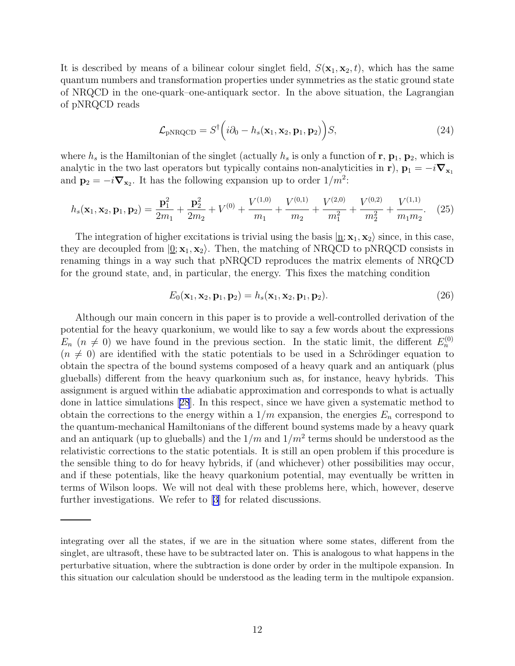<span id="page-11-0"></span>It is described by means of a bilinear colour singlet field,  $S(\mathbf{x}_1, \mathbf{x}_2, t)$ , which has the same quantum numbers and transformation properties under symmetries as the static ground state of NRQCD in the one-quark–one-antiquark sector. In the above situation, the Lagrangian of pNRQCD reads

$$
\mathcal{L}_{\text{pNRQCD}} = S^{\dagger} \left( i \partial_0 - h_s(\mathbf{x}_1, \mathbf{x}_2, \mathbf{p}_1, \mathbf{p}_2) \right) S, \tag{24}
$$

where  $h_s$  is the Hamiltonian of the singlet (actually  $h_s$  is only a function of  $\mathbf{r}, \mathbf{p}_1, \mathbf{p}_2$ , which is analytic in the two last operators but typically contains non-analyticities in r),  $\mathbf{p}_1 = -i\nabla_{\mathbf{x}_1}$ and  $\mathbf{p}_2 = -i\mathbf{\nabla}_{\mathbf{x}_2}$ . It has the following expansion up to order  $1/m^2$ :

$$
h_s(\mathbf{x}_1, \mathbf{x}_2, \mathbf{p}_1, \mathbf{p}_2) = \frac{\mathbf{p}_1^2}{2m_1} + \frac{\mathbf{p}_2^2}{2m_2} + V^{(0)} + \frac{V^{(1,0)}}{m_1} + \frac{V^{(0,1)}}{m_2} + \frac{V^{(2,0)}}{m_1^2} + \frac{V^{(0,2)}}{m_2^2} + \frac{V^{(1,1)}}{m_1 m_2}.
$$
 (25)

The integration of higher excitations is trivial using the basis  $|\mathbf{n}; \mathbf{x}_1, \mathbf{x}_2\rangle$  since, in this case, they are decoupled from  $|0; \mathbf{x}_1, \mathbf{x}_2\rangle$ . Then, the matching of NRQCD to pNRQCD consists in renaming things in a way such that pNRQCD reproduces the matrix elements of NRQCD for the ground state, and, in particular, the energy. This fixes the matching condition

$$
E_0(\mathbf{x}_1, \mathbf{x}_2, \mathbf{p}_1, \mathbf{p}_2) = h_s(\mathbf{x}_1, \mathbf{x}_2, \mathbf{p}_1, \mathbf{p}_2).
$$
\n(26)

Although our main concern in this paper is to provide a well-controlled derivation of the potential for the heavy quarkonium, we would like to say a few words about the expressions  $E_n$  ( $n \neq 0$ ) we have found in the previous section. In the static limit, the different  $E_n^{(0)}$  $(n \neq 0)$  are identified with the static potentials to be used in a Schrödinger equation to obtain the spectra of the bound systems composed of a heavy quark and an antiquark (plus glueballs) different from the heavy quarkonium such as, for instance, heavy hybrids. This assignment is argued within the adiabatic approximation and corresponds to what is actually done in lattice simulations[[28](#page-23-0)]. In this respect, since we have given a systematic method to obtain the corrections to the energy within a  $1/m$  expansion, the energies  $E_n$  correspond to the quantum-mechanical Hamiltonians of the different bound systems made by a heavy quark and an antiquark (up to glueballs) and the  $1/m$  and  $1/m<sup>2</sup>$  terms should be understood as the relativistic corrections to the static potentials. It is still an open problem if this procedure is the sensible thing to do for heavy hybrids, if (and whichever) other possibilities may occur, and if these potentials, like the heavy quarkonium potential, may eventually be written in terms of Wilson loops. We will not deal with these problems here, which, however, deserve further investigations. We refer to[[3\]](#page-23-0) for related discussions.

integrating over all the states, if we are in the situation where some states, different from the singlet, are ultrasoft, these have to be subtracted later on. This is analogous to what happens in the perturbative situation, where the subtraction is done order by order in the multipole expansion. In this situation our calculation should be understood as the leading term in the multipole expansion.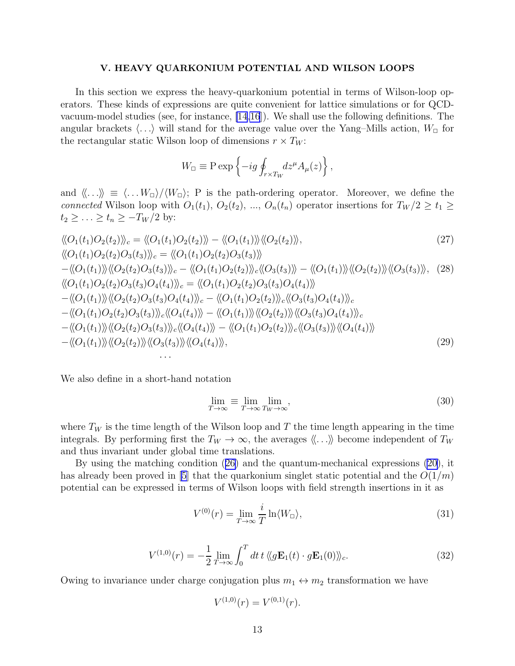#### V. HEAVY QUARKONIUM POTENTIAL AND WILSON LOOPS

<span id="page-12-0"></span>In this section we express the heavy-quarkonium potential in terms of Wilson-loop operators. These kinds of expressions are quite convenient for lattice simulations or for QCDvacuum-model studies (see, for instance, [\[14,16](#page-23-0)]). We shall use the following definitions. The angular brackets  $\langle \ldots \rangle$  will stand for the average value over the Yang–Mills action,  $W_{\Box}$  for the rectangular static Wilson loop of dimensions  $r \times T_W$ :

$$
W_{\Box} \equiv \mathcal{P} \exp \left\{-ig \oint_{r \times T_W} dz^{\mu} A_{\mu}(z)\right\},\,
$$

and  $\langle \ldots \rangle \equiv \langle \ldots W_{\Box} \rangle / \langle W_{\Box} \rangle$ ; P is the path-ordering operator. Moreover, we define the connected Wilson loop with  $O_1(t_1)$ ,  $O_2(t_2)$ , ...,  $O_n(t_n)$  operator insertions for  $T_W/2 \ge t_1 \ge$  $t_2 \geq \ldots \geq t_n \geq -T_W/2$  by:

$$
\langle O_{1}(t_{1})O_{2}(t_{2})\rangle_{c} = \langle O_{1}(t_{1})O_{2}(t_{2})\rangle - \langle O_{1}(t_{1})\rangle \langle O_{2}(t_{2})\rangle, \tag{27}
$$
\n
$$
\langle O_{1}(t_{1})O_{2}(t_{2})O_{3}(t_{3})\rangle_{c} = \langle O_{1}(t_{1})O_{2}(t_{2})O_{3}(t_{3})\rangle \tag{27}
$$
\n
$$
-\langle O_{1}(t_{1})\rangle \langle O_{2}(t_{2})O_{3}(t_{3})\rangle_{c} - \langle O_{1}(t_{1})O_{2}(t_{2})\rangle_{c} \langle O_{3}(t_{3})\rangle - \langle O_{1}(t_{1})\rangle \langle O_{2}(t_{2})\rangle \langle O_{3}(t_{3})\rangle, \tag{28}
$$
\n
$$
\langle O_{1}(t_{1})O_{2}(t_{2})O_{3}(t_{3})O_{4}(t_{4})\rangle_{c} = \langle O_{1}(t_{1})O_{2}(t_{2})O_{3}(t_{3})O_{4}(t_{4})\rangle \tag{29}
$$
\n
$$
-\langle O_{1}(t_{1})\rangle \langle O_{2}(t_{2})O_{3}(t_{3})O_{4}(t_{4})\rangle_{c} - \langle O_{1}(t_{1})O_{2}(t_{2})\rangle_{c} \langle O_{3}(t_{3})O_{4}(t_{4})\rangle_{c} - \langle O_{1}(t_{1})O_{2}(t_{2})O_{3}(t_{3})\rangle_{c} \langle O_{4}(t_{4})\rangle - \langle O_{1}(t_{1})\rangle \langle O_{2}(t_{2})\rangle \langle O_{3}(t_{3})O_{4}(t_{4})\rangle_{c} - \langle O_{1}(t_{1})\rangle \langle O_{2}(t_{2})O_{3}(t_{3})\rangle_{c} \langle O_{4}(t_{4})\rangle - \langle O_{1}(t_{1})\rangle \langle O_{2}(t_{2})\rangle_{c} \langle O_{3}(t_{3})\rangle \langle O_{4}(t_{4})\rangle - \langle O_{1}(t_{1})O_{2}(t_{2})\rangle_{c} \langle O_{3}(t_{3})\rangle \langle O_{4}(t_{4})\rangle - \langle O_{1}(t_{1})\rangle \langle O_{2}(t_{2})\rangle \langle O_{3}(t_{3})\rangle \langle O_{4}(t_{4})\rangle - \langle O_{1}(t
$$

We also define in a short-hand notation

· · ·

$$
\lim_{T \to \infty} \equiv \lim_{T \to \infty} \lim_{T_W \to \infty},\tag{30}
$$

where  $T_W$  is the time length of the Wilson loop and T the time length appearing in the time integrals. By performing first the  $T_W \to \infty$ , the averages  $\langle \langle \ldots \rangle \rangle$  become independent of  $T_W$ and thus invariant under global time translations.

By using the matching condition([26\)](#page-11-0) and the quantum-mechanical expressions [\(20\)](#page-7-0), it has already been proved in [\[5](#page-23-0)] that the quarkonium singlet static potential and the  $O(1/m)$ potential can be expressed in terms of Wilson loops with field strength insertions in it as

$$
V^{(0)}(r) = \lim_{T \to \infty} \frac{i}{T} \ln \langle W_{\square} \rangle, \tag{31}
$$

$$
V^{(1,0)}(r) = -\frac{1}{2} \lim_{T \to \infty} \int_0^T dt \, t \, \langle \langle g \mathbf{E}_1(t) \cdot g \mathbf{E}_1(0) \rangle \rangle_c. \tag{32}
$$

Owing to invariance under charge conjugation plus  $m_1 \leftrightarrow m_2$  transformation we have

$$
V^{(1,0)}(r) = V^{(0,1)}(r).
$$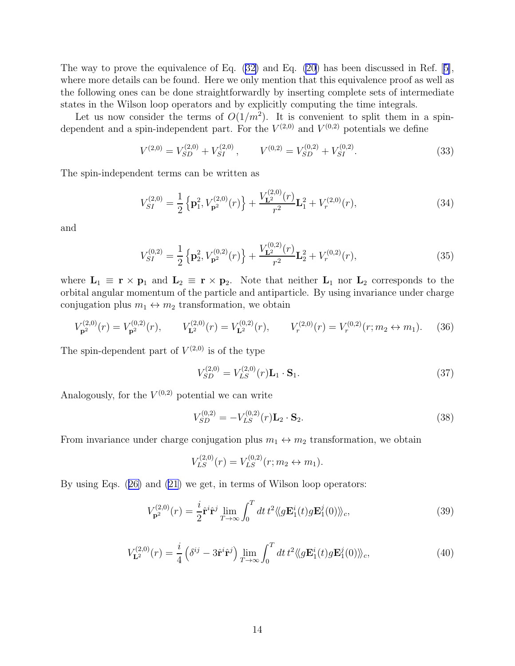The way to prove the equivalence of Eq. [\(32\)](#page-12-0) and Eq. [\(20\)](#page-7-0) has been discussed in Ref.[[5\]](#page-23-0), where more details can be found. Here we only mention that this equivalence proof as well as the following ones can be done straightforwardly by inserting complete sets of intermediate states in the Wilson loop operators and by explicitly computing the time integrals.

Let us now consider the terms of  $O(1/m^2)$ . It is convenient to split them in a spindependent and a spin-independent part. For the  $V^{(2,0)}$  and  $V^{(0,2)}$  potentials we define

$$
V^{(2,0)} = V_{SD}^{(2,0)} + V_{SI}^{(2,0)}, \qquad V^{(0,2)} = V_{SD}^{(0,2)} + V_{SI}^{(0,2)}.
$$
 (33)

The spin-independent terms can be written as

$$
V_{SI}^{(2,0)} = \frac{1}{2} \left\{ \mathbf{p}_1^2, V_{\mathbf{p}^2}^{(2,0)}(r) \right\} + \frac{V_{\mathbf{L}^2}^{(2,0)}(r)}{r^2} \mathbf{L}_1^2 + V_r^{(2,0)}(r), \tag{34}
$$

and

$$
V_{SI}^{(0,2)} = \frac{1}{2} \left\{ \mathbf{p}_2^2, V_{\mathbf{p}^2}^{(0,2)}(r) \right\} + \frac{V_{\mathbf{L}^2}^{(0,2)}(r)}{r^2} \mathbf{L}_2^2 + V_r^{(0,2)}(r), \tag{35}
$$

where  $L_1 \equiv r \times p_1$  and  $L_2 \equiv r \times p_2$ . Note that neither  $L_1$  nor  $L_2$  corresponds to the orbital angular momentum of the particle and antiparticle. By using invariance under charge conjugation plus  $m_1 \leftrightarrow m_2$  transformation, we obtain

$$
V_{\mathbf{p}^2}^{(2,0)}(r) = V_{\mathbf{p}^2}^{(0,2)}(r), \qquad V_{\mathbf{L}^2}^{(2,0)}(r) = V_{\mathbf{L}^2}^{(0,2)}(r), \qquad V_r^{(2,0)}(r) = V_r^{(0,2)}(r; m_2 \leftrightarrow m_1). \tag{36}
$$

The spin-dependent part of  $V^{(2,0)}$  is of the type

$$
V_{SD}^{(2,0)} = V_{LS}^{(2,0)}(r)\mathbf{L}_1 \cdot \mathbf{S}_1.
$$
 (37)

Analogously, for the  $V^{(0,2)}$  potential we can write

$$
V_{SD}^{(0,2)} = -V_{LS}^{(0,2)}(r)\mathbf{L}_2 \cdot \mathbf{S}_2.
$$
 (38)

From invariance under charge conjugation plus  $m_1 \leftrightarrow m_2$  transformation, we obtain

$$
V_{LS}^{(2,0)}(r) = V_{LS}^{(0,2)}(r; m_2 \leftrightarrow m_1).
$$

By using Eqs.([26\)](#page-11-0) and [\(21](#page-7-0)) we get, in terms of Wilson loop operators:

$$
V_{\mathbf{p}^2}^{(2,0)}(r) = \frac{i}{2} \hat{\mathbf{r}}^i \hat{\mathbf{r}}^j \lim_{T \to \infty} \int_0^T dt \, t^2 \langle \langle g \mathbf{E}_1^i(t) g \mathbf{E}_1^j(0) \rangle \rangle_c, \tag{39}
$$

$$
V_{\mathbf{L}^{2}}^{(2,0)}(r) = \frac{i}{4} \left( \delta^{ij} - 3 \hat{\mathbf{r}}^{i} \hat{\mathbf{r}}^{j} \right) \lim_{T \to \infty} \int_{0}^{T} dt \, t^{2} \langle \langle g \mathbf{E}_{1}^{i}(t) g \mathbf{E}_{1}^{j}(0) \rangle \rangle_{c}, \tag{40}
$$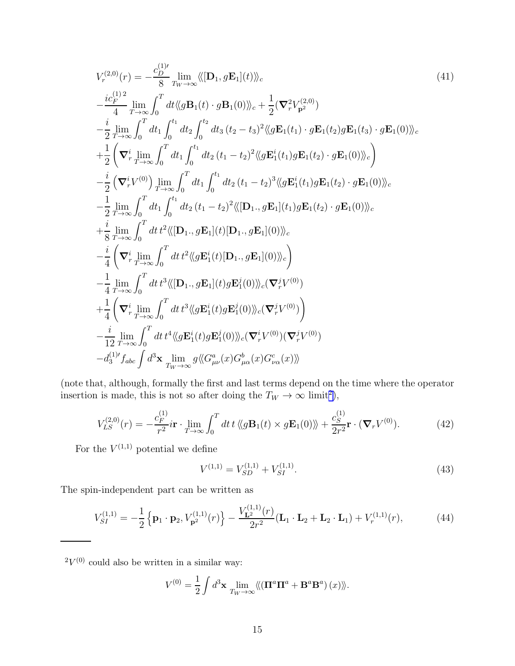$$
V_r^{(2,0)}(r) = -\frac{c_D^{(1)\prime}}{8} \lim_{T_W \to \infty} \langle\!\langle [\mathbf{D}_1, g\mathbf{E}_1](t) \rangle\!\rangle_c
$$
\n
$$
-\frac{ic_F^{(1)\,2}}{4} \lim_{T \to \infty} \int_0^T dt \langle\!\langle g\mathbf{B}_1(t) \cdot g\mathbf{B}_1(0) \rangle\!\rangle_c + \frac{1}{2} (\nabla_r^2 V_{\mathbf{p}^2}^{(2,0)})
$$
\n
$$
-\frac{i}{2} \lim_{T \to \infty} \int_0^T dt_1 \int_0^{t_1} dt_2 \int_0^{t_2} dt_3 (t_2 - t_3)^2 \langle\!\langle g\mathbf{E}_1(t_1) \cdot g\mathbf{E}_1(t_2) g\mathbf{E}_1(t_3) \cdot g\mathbf{E}_1(0) \rangle\!\rangle_c
$$
\n
$$
+\frac{1}{2} \left( \nabla_r^i \lim_{T \to \infty} \int_0^T dt_1 \int_0^{t_1} dt_2 (t_1 - t_2)^2 \langle\!\langle g\mathbf{E}_1^i(t_1) g\mathbf{E}_1(t_2) \cdot g\mathbf{E}_1(0) \rangle\!\rangle_c \right)
$$
\n
$$
-\frac{i}{2} \left( \nabla_r^i V^{(0)} \right) \lim_{T \to \infty} \int_0^T dt_1 \int_0^{t_1} dt_2 (t_1 - t_2)^2 \langle\!\langle g\mathbf{E}_1^i(t_1) g\mathbf{E}_1(t_2) \cdot g\mathbf{E}_1(0) \rangle\!\rangle_c
$$
\n
$$
-\frac{1}{2} \lim_{T \to \infty} \int_0^T dt_1 \int_0^{t_1} dt_2 (t_1 - t_2)^2 \langle\!\langle [\mathbf{D}_1, g\mathbf{E}_1](t_1) g\mathbf{E}_1(t_2) \cdot g\mathbf{E}_1(0) \rangle\!\rangle_c
$$
\n
$$
+\frac{i}{8} \lim_{T \to \infty} \int_0^T dt_1 t^2 \langle\!\langle [\mathbf{D}_1, g\mathbf{E}_1](0) \rangle\!\rangle_c
$$
\n
$$
-\frac{i}{4} \left( \nabla_r
$$

(note that, although, formally the first and last terms depend on the time where the operator insertion is made, this is not so after doing the  $T_W \to \infty$  limit<sup>2</sup>),

$$
V_{LS}^{(2,0)}(r) = -\frac{c_F^{(1)}}{r^2} i \mathbf{r} \cdot \lim_{T \to \infty} \int_0^T dt \, t \, \langle g \mathbf{B}_1(t) \times g \mathbf{E}_1(0) \rangle + \frac{c_S^{(1)}}{2r^2} \mathbf{r} \cdot (\nabla_r V^{(0)}). \tag{42}
$$

For the  $V^{(1,1)}$  potential we define

$$
V^{(1,1)} = V_{SD}^{(1,1)} + V_{SI}^{(1,1)}.
$$
\n(43)

The spin-independent part can be written as

$$
V_{SI}^{(1,1)} = -\frac{1}{2} \left\{ \mathbf{p}_1 \cdot \mathbf{p}_2, V_{\mathbf{p}^2}^{(1,1)}(r) \right\} - \frac{V_{\mathbf{L}^2}^{(1,1)}(r)}{2r^2} (\mathbf{L}_1 \cdot \mathbf{L}_2 + \mathbf{L}_2 \cdot \mathbf{L}_1) + V_r^{(1,1)}(r), \tag{44}
$$

 $2V^{(0)}$  could also be written in a similar way:

$$
V^{(0)} = \frac{1}{2} \int d^3 \mathbf{x} \lim_{T_W \to \infty} \langle \langle (\mathbf{\Pi}^a \mathbf{\Pi}^a + \mathbf{B}^a \mathbf{B}^a) (x) \rangle \rangle.
$$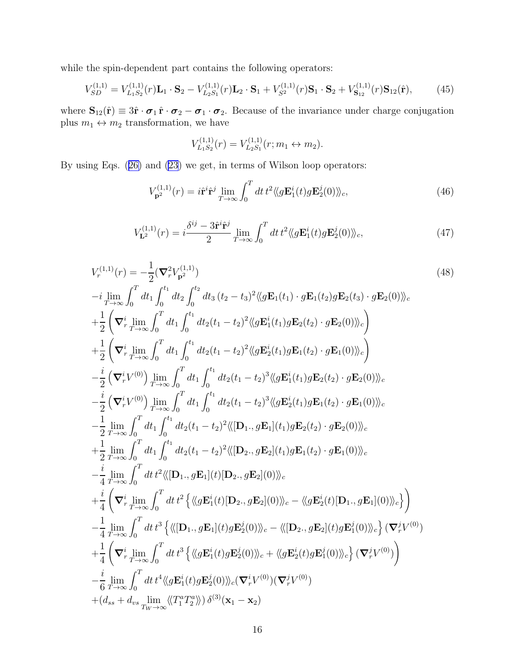while the spin-dependent part contains the following operators:

$$
V_{SD}^{(1,1)} = V_{L_1S_2}^{(1,1)}(r)\mathbf{L}_1 \cdot \mathbf{S}_2 - V_{L_2S_1}^{(1,1)}(r)\mathbf{L}_2 \cdot \mathbf{S}_1 + V_{S^2}^{(1,1)}(r)\mathbf{S}_1 \cdot \mathbf{S}_2 + V_{\mathbf{S}_{12}}^{(1,1)}(r)\mathbf{S}_{12}(\hat{\mathbf{r}}),
$$
(45)

where  $\mathbf{S}_{12}(\hat{\mathbf{r}}) \equiv 3\hat{\mathbf{r}} \cdot \boldsymbol{\sigma}_1 \cdot \boldsymbol{\sigma}_2 - \boldsymbol{\sigma}_1 \cdot \boldsymbol{\sigma}_2$ . Because of the invariance under charge conjugation plus  $m_1 \leftrightarrow m_2$  transformation, we have

$$
V_{L_1S_2}^{(1,1)}(r) = V_{L_2S_1}^{(1,1)}(r; m_1 \leftrightarrow m_2).
$$

By using Eqs.([26\)](#page-11-0) and [\(23](#page-8-0)) we get, in terms of Wilson loop operators:

$$
V_{\mathbf{p}^2}^{(1,1)}(r) = i\hat{\mathbf{r}}^i \hat{\mathbf{r}}^j \lim_{T \to \infty} \int_0^T dt \, t^2 \langle \langle g \mathbf{E}_1^i(t) g \mathbf{E}_2^j(0) \rangle \rangle_c, \tag{46}
$$

$$
V_{\mathbf{L}^{2}}^{(1,1)}(r) = i \frac{\delta^{ij} - 3\hat{\mathbf{r}}^{i}\hat{\mathbf{r}}^{j}}{2} \lim_{T \to \infty} \int_{0}^{T} dt \, t^{2} \langle \langle g\mathbf{E}_{1}^{i}(t)g\mathbf{E}_{2}^{j}(0) \rangle \rangle_{c},\tag{47}
$$

$$
V_r^{(1,1)}(r) = -\frac{1}{2} (\nabla_r^2 V_{\mathbf{p}2}^{(1,1)})
$$
\n
$$
-i \lim_{T \to \infty} \int_0^T dt_1 \int_0^{t_1} dt_2 \int_0^{t_2} dt_3 (t_2 - t_3)^2 \langle\!\langle g \mathbf{E}_1(t_1) \cdot g \mathbf{E}_1(t_2) g \mathbf{E}_2(t_3) \cdot g \mathbf{E}_2(0) \rangle\!\rangle_c
$$
\n
$$
+ \frac{1}{2} \left( \nabla_r^i \lim_{T \to \infty} \int_0^T dt_1 \int_0^{t_1} dt_2 (t_1 - t_2)^2 \langle\!\langle g \mathbf{E}_1^i(t_1) g \mathbf{E}_2(t_2) \cdot g \mathbf{E}_2(0) \rangle\!\rangle_c \right)
$$
\n
$$
+ \frac{1}{2} \left( \nabla_r^i \lim_{T \to \infty} \int_0^T dt_1 \int_0^{t_1} dt_2 (t_1 - t_2)^2 \langle\!\langle g \mathbf{E}_2^i(t_1) g \mathbf{E}_1(t_2) \cdot g \mathbf{E}_1(0) \rangle\!\rangle_c \right)
$$
\n
$$
- \frac{i}{2} \left( \nabla_r^i V^{(0)} \right) \lim_{T \to \infty} \int_0^T dt_1 \int_0^{t_1} dt_2 (t_1 - t_2)^3 \langle\!\langle g \mathbf{E}_1^i(t_1) g \mathbf{E}_2(t_2) \cdot g \mathbf{E}_2(0) \rangle\!\rangle_c
$$
\n
$$
- \frac{i}{2} \lim_{T \to \infty} \int_0^T dt_1 \int_0^{t_1} dt_2 (t_1 - t_2)^3 \langle\!\langle g \mathbf{E}_2^i(t_1) g \mathbf{E}_2(t_2) \cdot g \mathbf{E}_2(0) \rangle\!\rangle_c
$$
\n
$$
- \frac{1}{2} \lim_{T \to \infty} \int_0^T dt_1 \int_0^{t_1} dt_2 (t_1 - t_2)^2 \langle\!\langle [\mathbf{D}_1, g \mathbf{E}_1](t_1) g \mathbf{E}_2(t_2) \cdot g \mathbf{E}_2(0) \rangle\
$$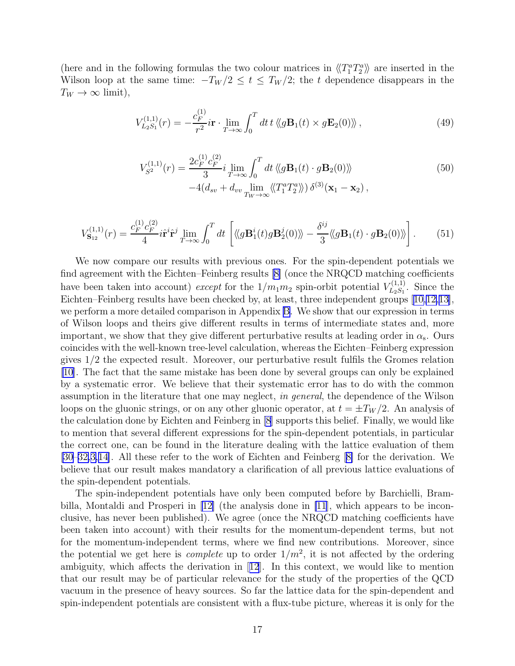<span id="page-16-0"></span>(here and in the following formulas the two colour matrices in  $\langle T_1^a T_2^a \rangle$ ) are inserted in the Wilson loop at the same time:  $-T_W/2 \le t \le T_W/2$ ; the t dependence disappears in the  $T_W \to \infty$  limit),

$$
V_{L_2S_1}^{(1,1)}(r) = -\frac{c_F^{(1)}}{r^2} i\mathbf{r} \cdot \lim_{T \to \infty} \int_0^T dt \, t \, \langle g \mathbf{B}_1(t) \times g \mathbf{E}_2(0) \rangle \, , \tag{49}
$$

$$
V_{S^2}^{(1,1)}(r) = \frac{2c_F^{(1)}c_F^{(2)}}{3} i \lim_{T \to \infty} \int_0^T dt \langle \langle g\mathbf{B}_1(t) \cdot g\mathbf{B}_2(0) \rangle \rangle
$$
  
-4 $(d_{sv} + d_{vv} \lim_{T_W \to \infty} \langle \langle T_1^a T_2^a \rangle \rangle) \delta^{(3)}(\mathbf{x}_1 - \mathbf{x}_2),$  (50)

$$
V_{\mathbf{S}_{12}}^{(1,1)}(r) = \frac{c_F^{(1)} c_F^{(2)}}{4} i \hat{\mathbf{r}}^i \hat{\mathbf{r}}^j \lim_{T \to \infty} \int_0^T dt \left[ \langle g \mathbf{B}_1^i(t) g \mathbf{B}_2^j(0) \rangle \rangle - \frac{\delta^{ij}}{3} \langle g \mathbf{B}_1(t) \cdot g \mathbf{B}_2(0) \rangle \rangle \right]. \tag{51}
$$

We now compare our results with previous ones. For the spin-dependent potentials we find agreement with the Eichten–Feinberg results[[8\]](#page-23-0) (once the NRQCD matching coefficients have been taken into account) except for the  $1/m_1m_2$  spin-orbit potential  $V_{L_2S_1}^{(1,1)}$  $\chi_{L_2S_1}^{(1,1)}$ . Since the Eichten–Feinberg results have been checked by, at least, three independent groups[[10,12,13\]](#page-23-0), we perform a more detailed comparison in Appendix [B.](#page-21-0) We show that our expression in terms of Wilson loops and theirs give different results in terms of intermediate states and, more important, we show that they give different perturbative results at leading order in  $\alpha_s$ . Ours coincides with the well-known tree-level calculation, whereas the Eichten–Feinberg expression gives 1/2 the expected result. Moreover, our perturbative result fulfils the Gromes relation [\[10](#page-23-0)]. The fact that the same mistake has been done by several groups can only be explained by a systematic error. We believe that their systematic error has to do with the common assumption in the literature that one may neglect, in general, the dependence of the Wilson loops on the gluonic strings, or on any other gluonic operator, at  $t = \pm T_W/2$ . An analysis of the calculation done by Eichten and Feinberg in [\[8](#page-23-0)] supports this belief. Finally, we would like to mention that several different expressions for the spin-dependent potentials, in particular the correct one, can be found in the literature dealing with the lattice evaluation of them [\[30](#page-24-0)–[32,](#page-24-0)[3,14\]](#page-23-0). All these refer to the work of Eichten and Feinberg[[8\]](#page-23-0) for the derivation. We believe that our result makes mandatory a clarification of all previous lattice evaluations of the spin-dependent potentials.

The spin-independent potentials have only been computed before by Barchielli, Brambilla, Montaldi and Prosperi in[[12\]](#page-23-0) (the analysis done in [\[11](#page-23-0)], which appears to be inconclusive, has never been published). We agree (once the NRQCD matching coefficients have been taken into account) with their results for the momentum-dependent terms, but not for the momentum-independent terms, where we find new contributions. Moreover, since the potential we get here is *complete* up to order  $1/m^2$ , it is not affected by the ordering ambiguity, which affects the derivation in[[12](#page-23-0)]. In this context, we would like to mention that our result may be of particular relevance for the study of the properties of the QCD vacuum in the presence of heavy sources. So far the lattice data for the spin-dependent and spin-independent potentials are consistent with a flux-tube picture, whereas it is only for the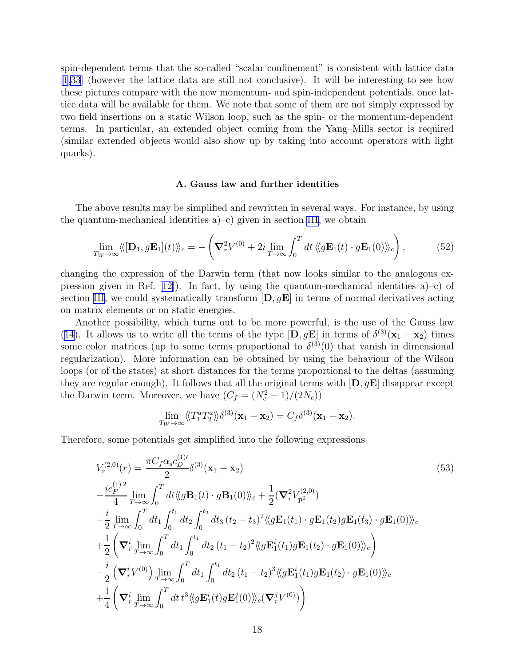spin-dependent terms that the so-called "scalar confinement" is consistent with lattice data [\[1](#page-23-0)[,33](#page-24-0)] (however the lattice data are still not conclusive). It will be interesting to see how these pictures compare with the new momentum- and spin-independent potentials, once lattice data will be available for them. We note that some of them are not simply expressed by two field insertions on a static Wilson loop, such as the spin- or the momentum-dependent terms. In particular, an extended object coming from the Yang–Mills sector is required (similar extended objects would also show up by taking into account operators with light quarks).

#### A. Gauss law and further identities

The above results may be simplified and rewritten in several ways. For instance, by using the quantum-mechanical identities  $a$ )–c) given in section [III,](#page-4-0) we obtain

$$
\lim_{T_W \to \infty} \langle \langle [\mathbf{D}_1, g\mathbf{E}_1](t) \rangle \rangle_c = -\left(\nabla_r^2 V^{(0)} + 2i \lim_{T \to \infty} \int_0^T dt \, \langle \langle g\mathbf{E}_1(t) \cdot g\mathbf{E}_1(0) \rangle \rangle_c \right),\tag{52}
$$

changing the expression of the Darwin term (that now looks similar to the analogous ex-pression given in Ref. [\[12\]](#page-23-0)). In fact, by using the quantum-mechanical identities  $a$ –c) of section [III](#page-4-0), we could systematically transform  $[D, gE]$  in terms of normal derivatives acting on matrix elements or on static energies.

Another possibility, which turns out to be more powerful, is the use of the Gauss law ([14](#page-5-0)). It allows us to write all the terms of the type  $[D, gE]$  in terms of  $\delta^{(3)}(\mathbf{x}_1 - \mathbf{x}_2)$  times some color matrices (up to some terms proportional to  $\delta^{(3)}(0)$  that vanish in dimensional regularization). More information can be obtained by using the behaviour of the Wilson loops (or of the states) at short distances for the terms proportional to the deltas (assuming they are regular enough). It follows that all the original terms with  $[D, gE]$  disappear except the Darwin term. Moreover, we have  $(C_f = (N_c^2 - 1)/(2N_c))$ 

$$
\lim_{T_W \to \infty} \langle \langle T_1^a T_2^a \rangle \rangle \delta^{(3)}(\mathbf{x}_1 - \mathbf{x}_2) = C_f \delta^{(3)}(\mathbf{x}_1 - \mathbf{x}_2).
$$

Therefore, some potentials get simplified into the following expressions

$$
V_r^{(2,0)}(r) = \frac{\pi C_f \alpha_s c_D^{(1)'} }{2} \delta^{(3)}(\mathbf{x}_1 - \mathbf{x}_2)
$$
\n
$$
-\frac{ic_F^{(1)2}}{4} \lim_{T \to \infty} \int_0^T dt \langle\!\langle g \mathbf{B}_1(t) \cdot g \mathbf{B}_1(0) \rangle\!\rangle_c + \frac{1}{2} (\nabla_r^2 V_{\mathbf{p}^2}^{(2,0)})
$$
\n
$$
-\frac{i}{2} \lim_{T \to \infty} \int_0^T dt_1 \int_0^{t_1} dt_2 \int_0^{t_2} dt_3 (t_2 - t_3)^2 \langle\!\langle g \mathbf{E}_1(t_1) \cdot g \mathbf{E}_1(t_2) g \mathbf{E}_1(t_3) \cdot g \mathbf{E}_1(0) \rangle\!\rangle_c
$$
\n
$$
+\frac{1}{2} (\nabla_r^i \lim_{T \to \infty} \int_0^T dt_1 \int_0^{t_1} dt_2 (t_1 - t_2)^2 \langle\!\langle g \mathbf{E}_1^i(t_1) g \mathbf{E}_1(t_2) \cdot g \mathbf{E}_1(0) \rangle\!\rangle_c
$$
\n
$$
-\frac{i}{2} (\nabla_r^i V^{(0)}) \lim_{T \to \infty} \int_0^T dt_1 \int_0^{t_1} dt_2 (t_1 - t_2)^3 \langle\!\langle g \mathbf{E}_1^i(t_1) g \mathbf{E}_1(t_2) \cdot g \mathbf{E}_1(0) \rangle\!\rangle_c
$$
\n
$$
+\frac{1}{4} (\nabla_r^i \lim_{T \to \infty} \int_0^T dt_1 t^3 \langle\!\langle g \mathbf{E}_1^i(t) g \mathbf{E}_1^i(0) \rangle\!\rangle_c (\nabla_r^j V^{(0)})
$$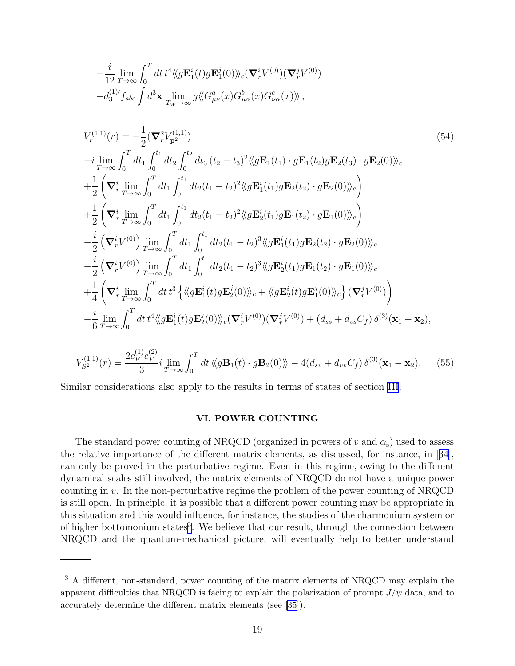<span id="page-18-0"></span>
$$
-\frac{i}{12}\lim_{T\to\infty}\int_0^T dt \, t^4 \langle\!\langle g\mathbf{E}_1^i(t)g\mathbf{E}_1^j(0)\rangle\!\rangle_c(\nabla_r^i V^{(0)})(\nabla_r^j V^{(0)})-d_3^{(1)\prime}f_{abc}\int d^3\mathbf{x} \, \lim_{T_W\to\infty}g\langle\!\langle G_{\mu\nu}^a(x)G_{\mu\alpha}^b(x)G_{\nu\alpha}^c(x)\rangle\!\rangle,
$$

$$
V_r^{(1,1)}(r) = -\frac{1}{2} (\nabla_r^2 V_{\mathbf{p}^2}^{(1,1)})
$$
\n
$$
-i \lim_{T \to \infty} \int_0^T dt_1 \int_0^{t_1} dt_2 \int_0^{t_2} dt_3 (t_2 - t_3)^2 \langle g \mathbf{E}_1(t_1) \cdot g \mathbf{E}_1(t_2) g \mathbf{E}_2(t_3) \cdot g \mathbf{E}_2(0) \rangle_c
$$
\n
$$
+ \frac{1}{2} \left( \nabla_r^i \lim_{T \to \infty} \int_0^T dt_1 \int_0^{t_1} dt_2 (t_1 - t_2)^2 \langle g \mathbf{E}_1^i(t_1) g \mathbf{E}_2(t_2) \cdot g \mathbf{E}_2(0) \rangle_c \right)
$$
\n
$$
+ \frac{1}{2} \left( \nabla_r^i \lim_{T \to \infty} \int_0^T dt_1 \int_0^{t_1} dt_2 (t_1 - t_2)^2 \langle g \mathbf{E}_2^i(t_1) g \mathbf{E}_1(t_2) \cdot g \mathbf{E}_1(0) \rangle_c \right)
$$
\n
$$
- \frac{i}{2} \left( \nabla_r^i V^{(0)} \right) \lim_{T \to \infty} \int_0^T dt_1 \int_0^{t_1} dt_2 (t_1 - t_2)^3 \langle g \mathbf{E}_1^i(t_1) g \mathbf{E}_2(t_2) \cdot g \mathbf{E}_2(0) \rangle_c
$$
\n
$$
- \frac{i}{2} \left( \nabla_r^i V^{(0)} \right) \lim_{T \to \infty} \int_0^T dt_1 \int_0^{t_1} dt_2 (t_1 - t_2)^3 \langle g \mathbf{E}_2^i(t_1) g \mathbf{E}_1(t_2) \cdot g \mathbf{E}_1(0) \rangle_c
$$
\n
$$
+ \frac{1}{4} \left( \nabla_r^i \lim_{T \to \infty} \int_0^T dt_1 t^3 \left\{ \langle g \mathbf{E}_1^i(t) g \mathbf{E}_2^i(0) \rangle_c + \langle g \mathbf{E}_2^i(t) g \mathbf{E}_1^i(0) \rangle_c \right\} (\nabla_r
$$

$$
V_{S^2}^{(1,1)}(r) = \frac{2c_F^{(1)}c_F^{(2)}}{3} i \lim_{T \to \infty} \int_0^T dt \langle \langle g \mathbf{B}_1(t) \cdot g \mathbf{B}_2(0) \rangle \rangle - 4(d_{sv} + d_{vv}C_f) \delta^{(3)}(\mathbf{x}_1 - \mathbf{x}_2). \tag{55}
$$

Similar considerations also apply to the results in terms of states of section [III](#page-4-0).

# VI. POWER COUNTING

The standard power counting of NRQCD (organized in powers of  $v$  and  $\alpha_s$ ) used to assess the relative importance of the different matrix elements, as discussed, for instance, in[[34\]](#page-24-0), can only be proved in the perturbative regime. Even in this regime, owing to the different dynamical scales still involved, the matrix elements of NRQCD do not have a unique power counting in v. In the non-perturbative regime the problem of the power counting of NRQCD is still open. In principle, it is possible that a different power counting may be appropriate in this situation and this would influence, for instance, the studies of the charmonium system or of higher bottomonium states<sup>3</sup>. We believe that our result, through the connection between NRQCD and the quantum-mechanical picture, will eventually help to better understand

<sup>&</sup>lt;sup>3</sup> A different, non-standard, power counting of the matrix elements of NRQCD may explain the apparent difficulties that NRQCD is facing to explain the polarization of prompt  $J/\psi$  data, and to accurately determine the different matrix elements (see [\[35](#page-24-0)]).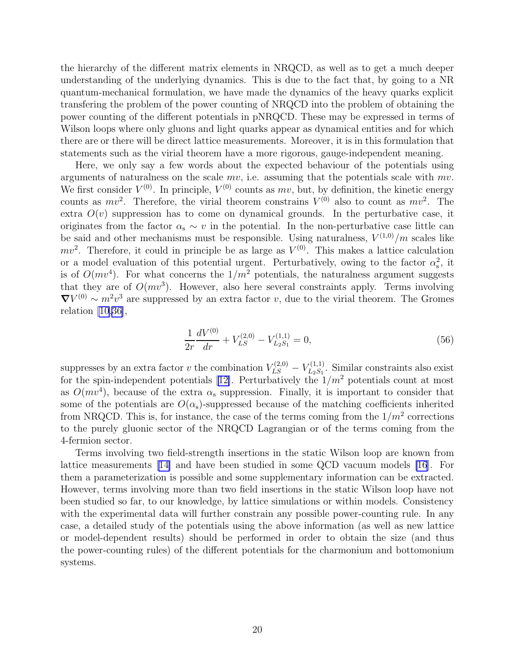<span id="page-19-0"></span>the hierarchy of the different matrix elements in NRQCD, as well as to get a much deeper understanding of the underlying dynamics. This is due to the fact that, by going to a NR quantum-mechanical formulation, we have made the dynamics of the heavy quarks explicit transfering the problem of the power counting of NRQCD into the problem of obtaining the power counting of the different potentials in pNRQCD. These may be expressed in terms of Wilson loops where only gluons and light quarks appear as dynamical entities and for which there are or there will be direct lattice measurements. Moreover, it is in this formulation that statements such as the virial theorem have a more rigorous, gauge-independent meaning.

Here, we only say a few words about the expected behaviour of the potentials using arguments of naturalness on the scale  $mv$ , i.e. assuming that the potentials scale with  $mv$ . We first consider  $V^{(0)}$ . In principle,  $V^{(0)}$  counts as mv, but, by definition, the kinetic energy counts as  $mv^2$ . Therefore, the virial theorem constrains  $V^{(0)}$  also to count as  $mv^2$ . The extra  $O(v)$  suppression has to come on dynamical grounds. In the perturbative case, it originates from the factor  $\alpha_s \sim v$  in the potential. In the non-perturbative case little can be said and other mechanisms must be responsible. Using naturalness,  $V^{(1,0)}/m$  scales like  $mv^2$ . Therefore, it could in principle be as large as  $V^{(0)}$ . This makes a lattice calculation or a model evaluation of this potential urgent. Perturbatively, owing to the factor  $\alpha_s^2$ , it is of  $O(mv^4)$ . For what concerns the  $1/m^2$  potentials, the naturalness argument suggests that they are of  $O(mv<sup>3</sup>)$ . However, also here several constraints apply. Terms involving  $\nabla V^{(0)} \sim m^2 v^3$  are suppressed by an extra factor v, due to the virial theorem. The Gromes relation  $[10,36]$  $[10,36]$ ,

$$
\frac{1}{2r}\frac{dV^{(0)}}{dr} + V_{LS}^{(2,0)} - V_{L_2S_1}^{(1,1)} = 0,\t\t(56)
$$

suppresses by an extra factor v the combination  $V_{LS}^{(2,0)} - V_{L_2S_1}^{(1,1)}$  $L_2S_1$ . Similar constraints also exist forthe spin-independent potentials [[12\]](#page-23-0). Perturbatively the  $1/m^2$  potentials count at most as  $O(mv<sup>4</sup>)$ , because of the extra  $\alpha_s$  suppression. Finally, it is important to consider that some of the potentials are  $O(\alpha_s)$ -suppressed because of the matching coefficients inherited from NRQCD. This is, for instance, the case of the terms coming from the  $1/m^2$  corrections to the purely gluonic sector of the NRQCD Lagrangian or of the terms coming from the 4-fermion sector.

Terms involving two field-strength insertions in the static Wilson loop are known from lattice measurements[[14\]](#page-23-0) and have been studied in some QCD vacuum models [\[16](#page-23-0)]. For them a parameterization is possible and some supplementary information can be extracted. However, terms involving more than two field insertions in the static Wilson loop have not been studied so far, to our knowledge, by lattice simulations or within models. Consistency with the experimental data will further constrain any possible power-counting rule. In any case, a detailed study of the potentials using the above information (as well as new lattice or model-dependent results) should be performed in order to obtain the size (and thus the power-counting rules) of the different potentials for the charmonium and bottomonium systems.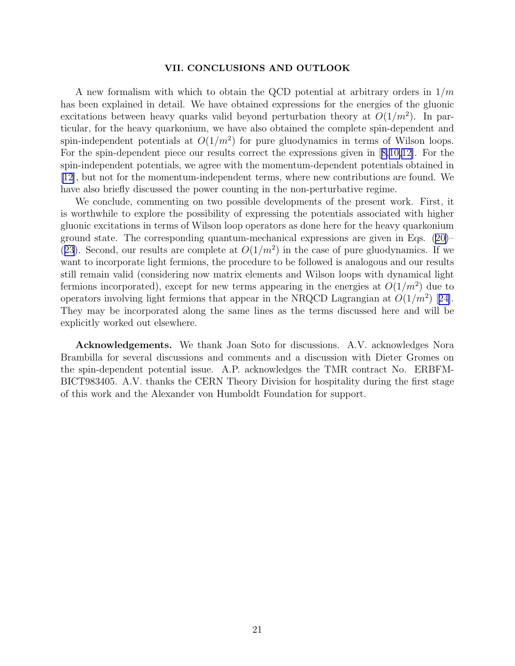#### VII. CONCLUSIONS AND OUTLOOK

A new formalism with which to obtain the QCD potential at arbitrary orders in  $1/m$ has been explained in detail. We have obtained expressions for the energies of the gluonic excitations between heavy quarks valid beyond perturbation theory at  $O(1/m^2)$ . In particular, for the heavy quarkonium, we have also obtained the complete spin-dependent and spin-independent potentials at  $O(1/m^2)$  for pure gluodynamics in terms of Wilson loops. For the spin-dependent piece our results correct the expressions given in[[8,10,12\]](#page-23-0). For the spin-independent potentials, we agree with the momentum-dependent potentials obtained in [\[12](#page-23-0)], but not for the momentum-independent terms, where new contributions are found. We have also briefly discussed the power counting in the non-perturbative regime.

We conclude, commenting on two possible developments of the present work. First, it is worthwhile to explore the possibility of expressing the potentials associated with higher gluonic excitations in terms of Wilson loop operators as done here for the heavy quarkonium ground state. The corresponding quantum-mechanical expressions are given in Eqs.([20\)](#page-7-0)– ([23](#page-8-0)). Second, our results are complete at  $O(1/m^2)$  in the case of pure gluodynamics. If we want to incorporate light fermions, the procedure to be followed is analogous and our results still remain valid (considering now matrix elements and Wilson loops with dynamical light fermions incorporated), except for new terms appearing in the energies at  $O(1/m^2)$  due to operatorsinvolving light fermions that appear in the NRQCD Lagrangian at  $O(1/m^2)$  [[24\]](#page-23-0). They may be incorporated along the same lines as the terms discussed here and will be explicitly worked out elsewhere.

Acknowledgements. We thank Joan Soto for discussions. A.V. acknowledges Nora Brambilla for several discussions and comments and a discussion with Dieter Gromes on the spin-dependent potential issue. A.P. acknowledges the TMR contract No. ERBFM-BICT983405. A.V. thanks the CERN Theory Division for hospitality during the first stage of this work and the Alexander von Humboldt Foundation for support.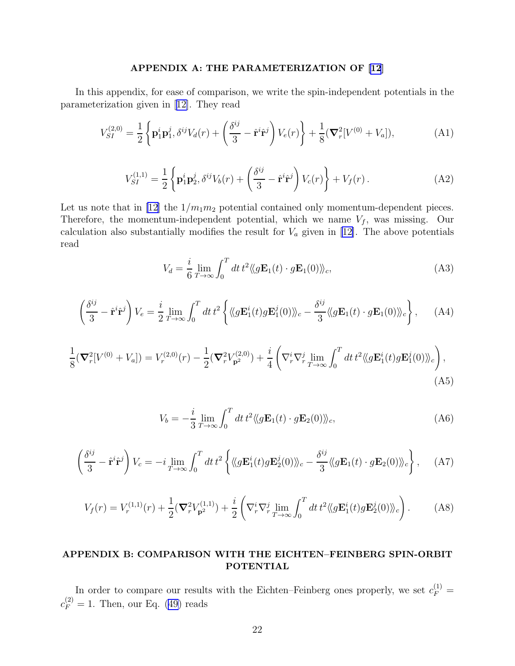## APPENDIX A: THE PARAMETERIZATION OF [\[12](#page-23-0)]

<span id="page-21-0"></span>In this appendix, for ease of comparison, we write the spin-independent potentials in the parameterization given in[[12\]](#page-23-0). They read

$$
V_{SI}^{(2,0)} = \frac{1}{2} \left\{ \mathbf{p}_1^i \mathbf{p}_1^j, \delta^{ij} V_d(r) + \left( \frac{\delta^{ij}}{3} - \hat{\mathbf{r}}^i \hat{\mathbf{r}}^j \right) V_e(r) \right\} + \frac{1}{8} (\nabla_r^2 [V^{(0)} + V_a]), \tag{A1}
$$

$$
V_{SI}^{(1,1)} = \frac{1}{2} \left\{ \mathbf{p}_1^i \mathbf{p}_2^j, \delta^{ij} V_b(r) + \left( \frac{\delta^{ij}}{3} - \hat{\mathbf{r}}^i \hat{\mathbf{r}}^j \right) V_c(r) \right\} + V_f(r) \,. \tag{A2}
$$

Let us note that in [\[12\]](#page-23-0) the  $1/m_1m_2$  potential contained only momentum-dependent pieces. Therefore, the momentum-independent potential, which we name  $V_f$ , was missing. Our calculation also substantially modifies the result for  $V_a$  given in [\[12](#page-23-0)]. The above potentials read

$$
V_d = \frac{i}{6} \lim_{T \to \infty} \int_0^T dt \, t^2 \langle \langle g \mathbf{E}_1(t) \cdot g \mathbf{E}_1(0) \rangle \rangle_c,
$$
 (A3)

$$
\left(\frac{\delta^{ij}}{3} - \hat{\mathbf{r}}^i \hat{\mathbf{r}}^j\right) V_e = \frac{i}{2} \lim_{T \to \infty} \int_0^T dt \, t^2 \left\{ \langle \langle g \mathbf{E}_1^i(t) g \mathbf{E}_1^j(0) \rangle \rangle_c - \frac{\delta^{ij}}{3} \langle \langle g \mathbf{E}_1(t) \cdot g \mathbf{E}_1(0) \rangle \rangle_c \right\}, \tag{A4}
$$

$$
\frac{1}{8}(\nabla_r^2[V^{(0)} + V_a]) = V_r^{(2,0)}(r) - \frac{1}{2}(\nabla_r^2 V_{\mathbf{p}^2}^{(2,0)}) + \frac{i}{4} \left(\nabla_r^i \nabla_r^j \lim_{T \to \infty} \int_0^T dt \, t^2 \langle \langle g \mathbf{E}_1^i(t) g \mathbf{E}_1^j(0) \rangle \rangle_c \right),\tag{A5}
$$

$$
V_b = -\frac{i}{3} \lim_{T \to \infty} \int_0^T dt \, t^2 \langle \langle g \mathbf{E}_1(t) \cdot g \mathbf{E}_2(0) \rangle \rangle_c, \tag{A6}
$$

$$
\left(\frac{\delta^{ij}}{3} - \hat{\mathbf{r}}^i \hat{\mathbf{r}}^j\right) V_c = -i \lim_{T \to \infty} \int_0^T dt \, t^2 \left\{ \langle \langle g \mathbf{E}_1^i(t) g \mathbf{E}_2^j(0) \rangle \rangle_c - \frac{\delta^{ij}}{3} \langle \langle g \mathbf{E}_1(t) \cdot g \mathbf{E}_2(0) \rangle \rangle_c \right\}, \quad \text{(A7)}
$$

$$
V_f(r) = V_r^{(1,1)}(r) + \frac{1}{2} (\nabla_r^2 V_{\mathbf{p}^2}^{(1,1)}) + \frac{i}{2} \left( \nabla_r^i \nabla_r^j \lim_{T \to \infty} \int_0^T dt \, t^2 \langle \langle g \mathbf{E}_1^i(t) g \mathbf{E}_2^j(0) \rangle \rangle_c \right). \tag{A8}
$$

# APPENDIX B: COMPARISON WITH THE EICHTEN–FEINBERG SPIN-ORBIT POTENTIAL

In order to compare our results with the Eichten–Feinberg ones properly, we set  $c_F^{(1)}$  =  $c_F^{(2)} = 1$ . Then, our Eq. [\(49\)](#page-16-0) reads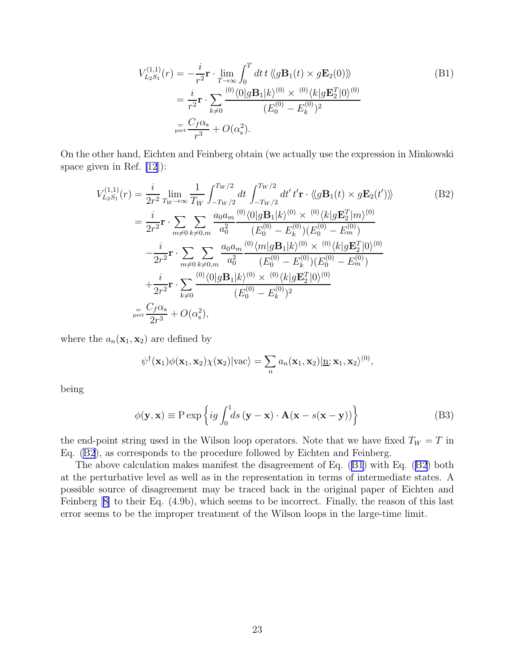$$
V_{L_2S_1}^{(1,1)}(r) = -\frac{i}{r^2} \mathbf{r} \cdot \lim_{T \to \infty} \int_0^T dt \, t \, \langle g \mathbf{B}_1(t) \times g \mathbf{E}_2(0) \rangle \rangle
$$
\n
$$
= \frac{i}{r^2} \mathbf{r} \cdot \sum_{k \neq 0} \frac{\langle 0 \rangle \langle 0 | g \mathbf{B}_1 | k \rangle \langle 0 \rangle \times \langle 0 \rangle \langle k | g \mathbf{E}_2^T | 0 \rangle \langle 0 \rangle}{(E_0^{(0)} - E_k^{(0)})^2}
$$
\n
$$
= \frac{C_f \alpha_s}{r^3} + O(\alpha_s^2).
$$
\n(B1)

On the other hand, Eichten and Feinberg obtain (we actually use the expression in Minkowski space given in Ref. [\[12](#page-23-0)]):

$$
V_{L_2S_1}^{(1,1)}(r) = \frac{i}{2r^2} \lim_{T_W \to \infty} \frac{1}{T_W} \int_{-T_W/2}^{T_W/2} dt \int_{-T_W/2}^{T_W/2} dt' t' \mathbf{r} \cdot \langle g \mathbf{B}_1(t) \times g \mathbf{E}_2(t') \rangle \rangle
$$
(B2)  
\n
$$
= \frac{i}{2r^2} \mathbf{r} \cdot \sum_{m \neq 0} \sum_{k \neq 0,m} \frac{a_0 a_m}{a_0^2} \frac{\frac{(0)(0|g \mathbf{B}_1|k\rangle^{(0)} \times \frac{(0)(k|g \mathbf{E}_2^T|m\rangle^{(0)}}{(E_0^{(0)} - E_m^{(0)})(E_0^{(0)} - E_m^{(0)})} - \frac{i}{2r^2} \mathbf{r} \cdot \sum_{m \neq 0} \sum_{k \neq 0,m} \frac{a_0 a_m}{a_0^2} \frac{\frac{(0)(m|g \mathbf{B}_1|k\rangle^{(0)} \times \frac{(0)(k|g \mathbf{E}_2^T|0\rangle^{(0)}}{(E_0^{(0)} - E_k^{(0)})(E_0^{(0)} - E_m^{(0)})} + \frac{i}{2r^2} \mathbf{r} \cdot \sum_{k \neq 0} \frac{\frac{(0)(0|g \mathbf{B}_1|k\rangle^{(0)} \times \frac{(0)(k|g \mathbf{E}_2^T|0\rangle^{(0)}}{(E_0^{(0)} - E_k^{(0)})^2}}{(E_0^{(0)} - E_k^{(0)})^2}
$$
\n
$$
= \frac{C_f \alpha_s}{2r^3} + O(\alpha_s^2),
$$
(C1)

where the  $a_n(\mathbf{x}_1, \mathbf{x}_2)$  are defined by

$$
\psi^{\dagger}(\mathbf{x}_1)\phi(\mathbf{x}_1,\mathbf{x}_2)\chi(\mathbf{x}_2)|\text{vac}\rangle = \sum_n a_n(\mathbf{x}_1,\mathbf{x}_2)|\underline{\mathbf{n}};\mathbf{x}_1,\mathbf{x}_2\rangle^{(0)},
$$

being

$$
\phi(\mathbf{y}, \mathbf{x}) \equiv \mathbf{P} \exp \left\{ ig \int_0^1 ds (\mathbf{y} - \mathbf{x}) \cdot \mathbf{A} (\mathbf{x} - s(\mathbf{x} - \mathbf{y})) \right\}
$$
(B3)

the end-point string used in the Wilson loop operators. Note that we have fixed  $T_W = T$  in Eq. (B2), as corresponds to the procedure followed by Eichten and Feinberg.

The above calculation makes manifest the disagreement of Eq. (B1) with Eq. (B2) both at the perturbative level as well as in the representation in terms of intermediate states. A possible source of disagreement may be traced back in the original paper of Eichten and Feinberg[[8\]](#page-23-0) to their Eq. (4.9b), which seems to be incorrect. Finally, the reason of this last error seems to be the improper treatment of the Wilson loops in the large-time limit.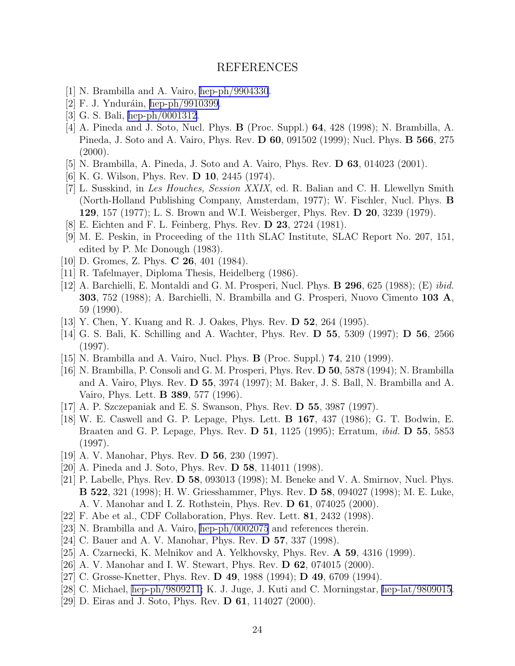# REFERENCES

- <span id="page-23-0"></span>[1] N. Brambilla and A. Vairo, [hep-ph/9904330](http://arxiv.org/abs/hep-ph/9904330).
- [2] F. J. Ynduráin, [hep-ph/9910399.](http://arxiv.org/abs/hep-ph/9910399)
- [3] G. S. Bali, [hep-ph/0001312](http://arxiv.org/abs/hep-ph/0001312).
- [4] A. Pineda and J. Soto, Nucl. Phys. B (Proc. Suppl.) 64, 428 (1998); N. Brambilla, A. Pineda, J. Soto and A. Vairo, Phys. Rev. D 60, 091502 (1999); Nucl. Phys. B 566, 275  $(2000).$
- [5] N. Brambilla, A. Pineda, J. Soto and A. Vairo, Phys. Rev. D 63, 014023 (2001).
- [6] K. G. Wilson, Phys. Rev. D 10, 2445 (1974).
- [7] L. Susskind, in Les Houches, Session XXIX, ed. R. Balian and C. H. Llewellyn Smith (North-Holland Publishing Company, Amsterdam, 1977); W. Fischler, Nucl. Phys. B 129, 157 (1977); L. S. Brown and W.I. Weisberger, Phys. Rev. D 20, 3239 (1979).
- [8] E. Eichten and F. L. Feinberg, Phys. Rev. D 23, 2724 (1981).
- [9] M. E. Peskin, in Proceeding of the 11th SLAC Institute, SLAC Report No. 207, 151, edited by P. Mc Donough (1983).
- [10] D. Gromes, Z. Phys. **C 26**, 401 (1984).
- [11] R. Tafelmayer, Diploma Thesis, Heidelberg (1986).
- [12] A. Barchielli, E. Montaldi and G. M. Prosperi, Nucl. Phys. B 296, 625 (1988); (E) ibid. 303, 752 (1988); A. Barchielli, N. Brambilla and G. Prosperi, Nuovo Cimento 103 A, 59 (1990).
- [13] Y. Chen, Y. Kuang and R. J. Oakes, Phys. Rev. D 52, 264 (1995).
- [14] G. S. Bali, K. Schilling and A. Wachter, Phys. Rev. D 55, 5309 (1997); D 56, 2566 (1997).
- [15] N. Brambilla and A. Vairo, Nucl. Phys. B (Proc. Suppl.) 74, 210 (1999).
- [16] N. Brambilla, P. Consoli and G. M. Prosperi, Phys. Rev. D 50, 5878 (1994); N. Brambilla and A. Vairo, Phys. Rev. D 55, 3974 (1997); M. Baker, J. S. Ball, N. Brambilla and A. Vairo, Phys. Lett. B 389, 577 (1996).
- [17] A. P. Szczepaniak and E. S. Swanson, Phys. Rev. D 55, 3987 (1997).
- [18] W. E. Caswell and G. P. Lepage, Phys. Lett. B 167, 437 (1986); G. T. Bodwin, E. Braaten and G. P. Lepage, Phys. Rev. D 51, 1125 (1995); Erratum, ibid. D 55, 5853 (1997).
- [19] A. V. Manohar, Phys. Rev. D 56, 230 (1997).
- [20] A. Pineda and J. Soto, Phys. Rev. D 58, 114011 (1998).
- [21] P. Labelle, Phys. Rev. D 58, 093013 (1998); M. Beneke and V. A. Smirnov, Nucl. Phys. B 522, 321 (1998); H. W. Griesshammer, Phys. Rev. D 58, 094027 (1998); M. E. Luke, A. V. Manohar and I. Z. Rothstein, Phys. Rev. D 61, 074025 (2000).
- [22] F. Abe et al., CDF Collaboration, Phys. Rev. Lett. 81, 2432 (1998).
- [23] N. Brambilla and A. Vairo, [hep-ph/0002075](http://arxiv.org/abs/hep-ph/0002075) and references therein.
- [24] C. Bauer and A. V. Manohar, Phys. Rev. **D 57**, 337 (1998).
- [25] A. Czarnecki, K. Melnikov and A. Yelkhovsky, Phys. Rev. A 59, 4316 (1999).
- [26] A. V. Manohar and I. W. Stewart, Phys. Rev. D 62, 074015 (2000).
- [27] C. Grosse-Knetter, Phys. Rev. D 49, 1988 (1994); D 49, 6709 (1994).
- [28] C. Michael, [hep-ph/9809211;](http://arxiv.org/abs/hep-ph/9809211) K. J. Juge, J. Kuti and C. Morningstar, [hep-lat/9809015.](http://arxiv.org/abs/hep-lat/9809015)
- [29] D. Eiras and J. Soto, Phys. Rev. D 61, 114027 (2000).